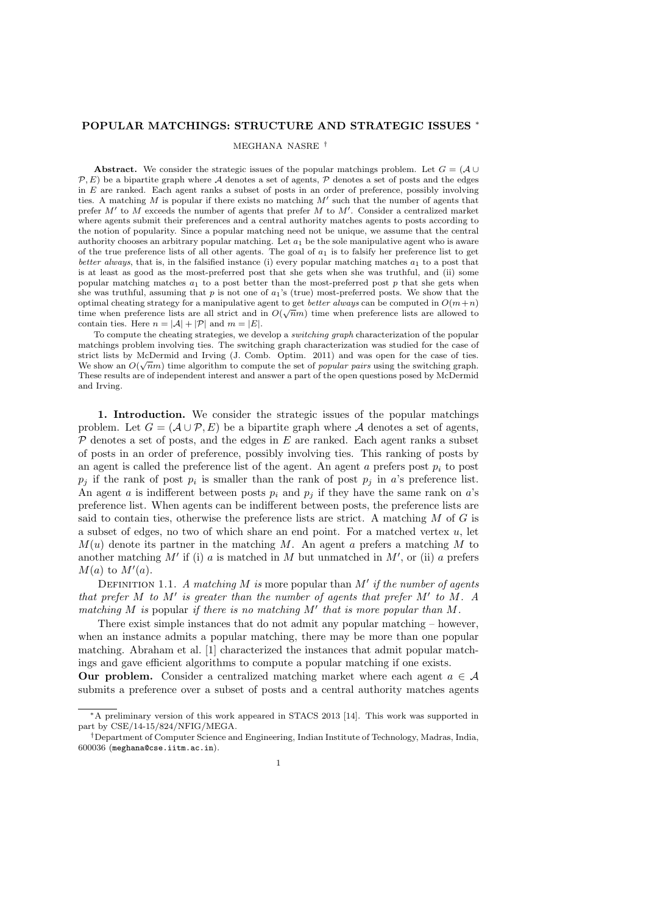## POPULAR MATCHINGS: STRUCTURE AND STRATEGIC ISSUES <sup>∗</sup>

#### MEGHANA NASRE †

Abstract. We consider the strategic issues of the popular matchings problem. Let  $G = (\mathcal{A} \cup$  $\mathcal{P}, E$ ) be a bipartite graph where A denotes a set of agents, P denotes a set of posts and the edges in  $E$  are ranked. Each agent ranks a subset of posts in an order of preference, possibly involving ties. A matching  $M$  is popular if there exists no matching  $M'$  such that the number of agents that prefer M' to M exceeds the number of agents that prefer M to M'. Consider a centralized market where agents submit their preferences and a central authority matches agents to posts according to the notion of popularity. Since a popular matching need not be unique, we assume that the central authority chooses an arbitrary popular matching. Let  $a_1$  be the sole manipulative agent who is aware of the true preference lists of all other agents. The goal of  $a_1$  is to falsify her preference list to get better always, that is, in the falsified instance (i) every popular matching matches  $a_1$  to a post that is at least as good as the most-preferred post that she gets when she was truthful, and (ii) some popular matching matches  $a_1$  to a post better than the most-preferred post p that she gets when she was truthful, assuming that p is not one of  $a_1$ 's (true) most-preferred posts. We show that the optimal cheating strategy for a manipulative agent to get *better always* can be computed in  $O(m+n)$ time when preference lists are all strict and in  $O(\sqrt{n}m)$  time when preference lists are allowed to contain ties. Here  $n = |\mathcal{A}| + |\mathcal{P}|$  and  $m = |E|$ .

To compute the cheating strategies, we develop a *switching graph* characterization of the popular matchings problem involving ties. The switching graph characterization was studied for the case of strict lists by McDermid and Irving (J. Comb. Optim. 2011) and was open for the case of ties. We show an  $O(\sqrt{n}m)$  time algorithm to compute the set of *popular pairs* using the switching graph. These results are of independent interest and answer a part of the open questions posed by McDermid and Irving.

1. Introduction. We consider the strategic issues of the popular matchings problem. Let  $G = (\mathcal{A} \cup \mathcal{P}, E)$  be a bipartite graph where  $\mathcal{A}$  denotes a set of agents,  $P$  denotes a set of posts, and the edges in  $E$  are ranked. Each agent ranks a subset of posts in an order of preference, possibly involving ties. This ranking of posts by an agent is called the preference list of the agent. An agent  $a$  prefers post  $p_i$  to post  $p_j$  if the rank of post  $p_i$  is smaller than the rank of post  $p_j$  in a's preference list. An agent a is indifferent between posts  $p_i$  and  $p_j$  if they have the same rank on a's preference list. When agents can be indifferent between posts, the preference lists are said to contain ties, otherwise the preference lists are strict. A matching  $M$  of  $G$  is a subset of edges, no two of which share an end point. For a matched vertex  $u$ , let  $M(u)$  denote its partner in the matching M. An agent a prefers a matching M to another matching  $M'$  if (i) a is matched in  $M$  but unmatched in  $M'$ , or (ii) a prefers  $M(a)$  to  $M'(a)$ .

DEFINITION 1.1. A matching M is more popular than M' if the number of agents that prefer M to M' is greater than the number of agents that prefer M' to M. A matching M is popular if there is no matching  $M'$  that is more popular than M.

There exist simple instances that do not admit any popular matching – however, when an instance admits a popular matching, there may be more than one popular matching. Abraham et al. [1] characterized the instances that admit popular matchings and gave efficient algorithms to compute a popular matching if one exists.

**Our problem.** Consider a centralized matching market where each agent  $a \in \mathcal{A}$ submits a preference over a subset of posts and a central authority matches agents

<sup>∗</sup>A preliminary version of this work appeared in STACS 2013 [14]. This work was supported in part by CSE/14-15/824/NFIG/MEGA.

<sup>†</sup>Department of Computer Science and Engineering, Indian Institute of Technology, Madras, India, 600036 (meghana@cse.iitm.ac.in).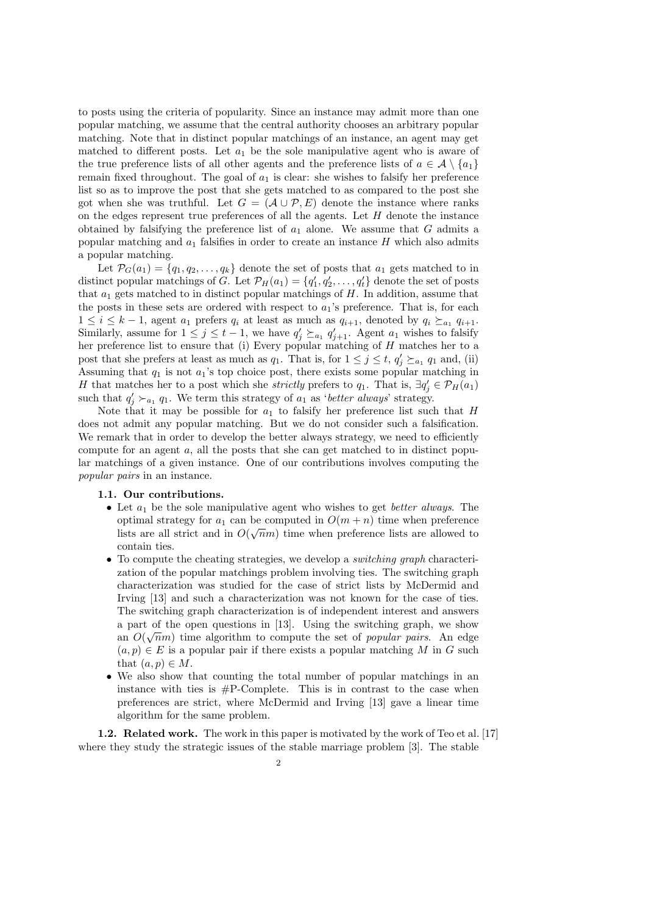to posts using the criteria of popularity. Since an instance may admit more than one popular matching, we assume that the central authority chooses an arbitrary popular matching. Note that in distinct popular matchings of an instance, an agent may get matched to different posts. Let  $a_1$  be the sole manipulative agent who is aware of the true preference lists of all other agents and the preference lists of  $a \in \mathcal{A} \setminus \{a_1\}$ remain fixed throughout. The goal of  $a_1$  is clear: she wishes to falsify her preference list so as to improve the post that she gets matched to as compared to the post she got when she was truthful. Let  $G = (\mathcal{A} \cup \mathcal{P}, E)$  denote the instance where ranks on the edges represent true preferences of all the agents. Let  $H$  denote the instance obtained by falsifying the preference list of  $a_1$  alone. We assume that G admits a popular matching and  $a_1$  falsifies in order to create an instance H which also admits a popular matching.

Let  $\mathcal{P}_G(a_1) = \{q_1, q_2, \ldots, q_k\}$  denote the set of posts that  $a_1$  gets matched to in distinct popular matchings of G. Let  $\mathcal{P}_H(a_1) = \{q'_1, q'_2, \ldots, q'_t\}$  denote the set of posts that  $a_1$  gets matched to in distinct popular matchings of H. In addition, assume that the posts in these sets are ordered with respect to  $a_1$ 's preference. That is, for each  $1 \leq i \leq k-1$ , agent  $a_1$  prefers  $q_i$  at least as much as  $q_{i+1}$ , denoted by  $q_i \succeq_{a_1} q_{i+1}$ . Similarly, assume for  $1 \leq j \leq t-1$ , we have  $q'_j \succeq_{a_1} q'_{j+1}$ . Agent  $a_1$  wishes to falsify her preference list to ensure that (i) Every popular matching of H matches her to a post that she prefers at least as much as  $q_1$ . That is, for  $1 \leq j \leq t$ ,  $q'_j \succeq_{a_1} q_1$  and, (ii) Assuming that  $q_1$  is not  $a_1$ 's top choice post, there exists some popular matching in H that matches her to a post which she *strictly* prefers to  $q_1$ . That is,  $\exists q'_j \in \mathcal{P}_H(a_1)$ such that  $q'_j \succ_{a_1} q_1$ . We term this strategy of  $a_1$  as 'better always' strategy.

Note that it may be possible for  $a_1$  to falsify her preference list such that H does not admit any popular matching. But we do not consider such a falsification. We remark that in order to develop the better always strategy, we need to efficiently compute for an agent  $a$ , all the posts that she can get matched to in distinct popular matchings of a given instance. One of our contributions involves computing the popular pairs in an instance.

### 1.1. Our contributions.

- Let  $a_1$  be the sole manipulative agent who wishes to get *better always*. The optimal strategy for  $a_1$  can be computed in  $O(m + n)$  time when preference lists are all strict and in  $O(\sqrt{n}m)$  time when preference lists are allowed to contain ties.
- To compute the cheating strategies, we develop a switching graph characterization of the popular matchings problem involving ties. The switching graph characterization was studied for the case of strict lists by McDermid and Irving [13] and such a characterization was not known for the case of ties. The switching graph characterization is of independent interest and answers a part of the open questions in [13]. Using the switching graph, we show an  $O(\sqrt{n}m)$  time algorithm to compute the set of *popular pairs*. An edge  $(a, p) \in E$  is a popular pair if there exists a popular matching M in G such that  $(a, p) \in M$ .
- We also show that counting the total number of popular matchings in an instance with ties is  $#P$ -Complete. This is in contrast to the case when preferences are strict, where McDermid and Irving [13] gave a linear time algorithm for the same problem.

1.2. Related work. The work in this paper is motivated by the work of Teo et al. [17] where they study the strategic issues of the stable marriage problem [3]. The stable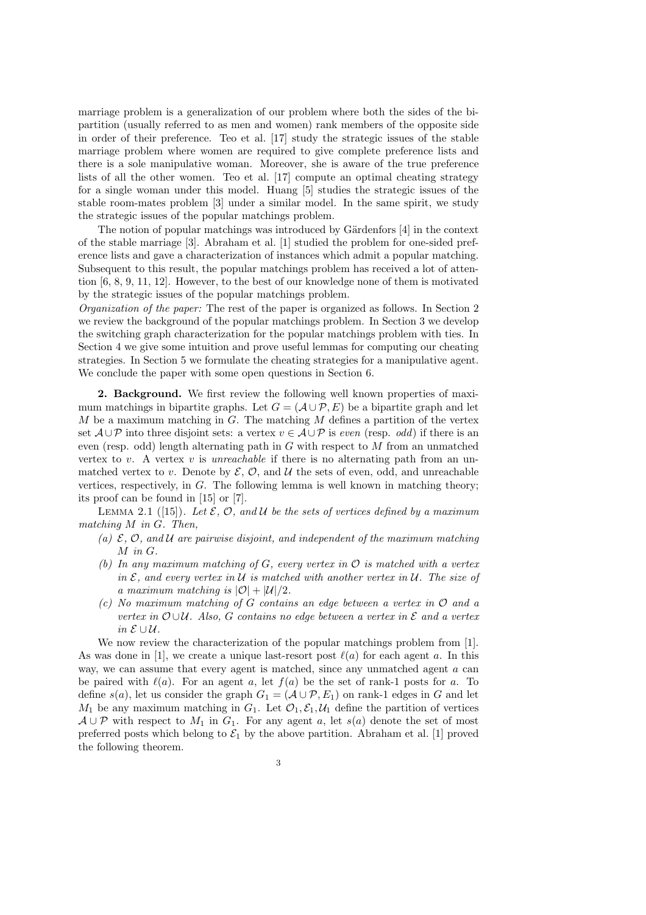marriage problem is a generalization of our problem where both the sides of the bipartition (usually referred to as men and women) rank members of the opposite side in order of their preference. Teo et al. [17] study the strategic issues of the stable marriage problem where women are required to give complete preference lists and there is a sole manipulative woman. Moreover, she is aware of the true preference lists of all the other women. Teo et al. [17] compute an optimal cheating strategy for a single woman under this model. Huang [5] studies the strategic issues of the stable room-mates problem [3] under a similar model. In the same spirit, we study the strategic issues of the popular matchings problem.

The notion of popular matchings was introduced by Gärdenfors [4] in the context of the stable marriage [3]. Abraham et al. [1] studied the problem for one-sided preference lists and gave a characterization of instances which admit a popular matching. Subsequent to this result, the popular matchings problem has received a lot of attention [6, 8, 9, 11, 12]. However, to the best of our knowledge none of them is motivated by the strategic issues of the popular matchings problem.

Organization of the paper: The rest of the paper is organized as follows. In Section 2 we review the background of the popular matchings problem. In Section 3 we develop the switching graph characterization for the popular matchings problem with ties. In Section 4 we give some intuition and prove useful lemmas for computing our cheating strategies. In Section 5 we formulate the cheating strategies for a manipulative agent. We conclude the paper with some open questions in Section 6.

2. Background. We first review the following well known properties of maximum matchings in bipartite graphs. Let  $G = (\mathcal{A} \cup \mathcal{P}, E)$  be a bipartite graph and let  $M$  be a maximum matching in  $G$ . The matching  $M$  defines a partition of the vertex set  $\mathcal{A} \cup \mathcal{P}$  into three disjoint sets: a vertex  $v \in \mathcal{A} \cup \mathcal{P}$  is even (resp. odd) if there is an even (resp. odd) length alternating path in  $G$  with respect to  $M$  from an unmatched vertex to v. A vertex v is *unreachable* if there is no alternating path from an unmatched vertex to v. Denote by  $\mathcal{E}, \mathcal{O}$ , and  $\mathcal{U}$  the sets of even, odd, and unreachable vertices, respectively, in  $G$ . The following lemma is well known in matching theory; its proof can be found in [15] or [7].

LEMMA 2.1 ([15]). Let  $\mathcal{E}, \mathcal{O}, \text{ and } \mathcal{U}$  be the sets of vertices defined by a maximum matching M in G. Then,

- (a)  $\mathcal{E}, \mathcal{O}, \text{ and } \mathcal{U}$  are pairwise disjoint, and independent of the maximum matching M in G.
- (b) In any maximum matching of G, every vertex in  $\mathcal O$  is matched with a vertex in  $\mathcal{E}$ , and every vertex in  $\mathcal{U}$  is matched with another vertex in  $\mathcal{U}$ . The size of a maximum matching is  $|\mathcal{O}| + |\mathcal{U}|/2$ .
- (c) No maximum matching of G contains an edge between a vertex in  $\mathcal O$  and a vertex in  $\mathcal{O} \cup \mathcal{U}$ . Also, G contains no edge between a vertex in  $\mathcal{E}$  and a vertex in  $E$  ∪  $U$ .

We now review the characterization of the popular matchings problem from [1]. As was done in [1], we create a unique last-resort post  $\ell(a)$  for each agent a. In this way, we can assume that every agent is matched, since any unmatched agent  $a$  can be paired with  $\ell(a)$ . For an agent a, let  $f(a)$  be the set of rank-1 posts for a. To define  $s(a)$ , let us consider the graph  $G_1 = (\mathcal{A} \cup \mathcal{P}, E_1)$  on rank-1 edges in G and let  $M_1$  be any maximum matching in  $G_1$ . Let  $\mathcal{O}_1, \mathcal{E}_1, \mathcal{U}_1$  define the partition of vertices  $A \cup P$  with respect to  $M_1$  in  $G_1$ . For any agent a, let  $s(a)$  denote the set of most preferred posts which belong to  $\mathcal{E}_1$  by the above partition. Abraham et al. [1] proved the following theorem.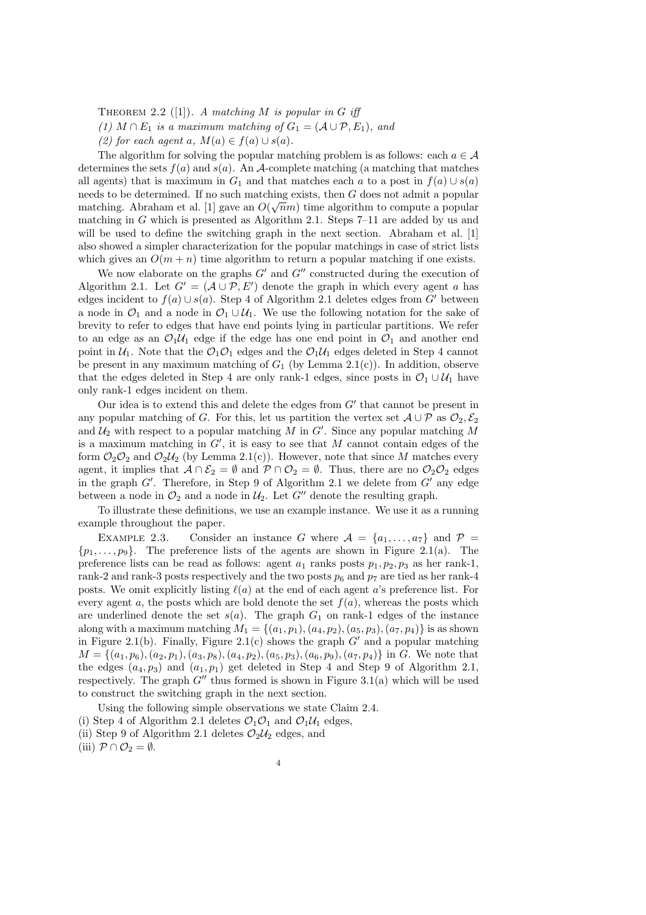THEOREM 2.2 ([1]). A matching M is popular in G iff

(1)  $M \cap E_1$  is a maximum matching of  $G_1 = (\mathcal{A} \cup \mathcal{P}, E_1)$ , and

(2) for each agent a,  $M(a) \in f(a) \cup s(a)$ .

The algorithm for solving the popular matching problem is as follows: each  $a \in \mathcal{A}$ determines the sets  $f(a)$  and  $s(a)$ . An A-complete matching (a matching that matches all agents) that is maximum in  $G_1$  and that matches each a to a post in  $f(a) \cup s(a)$ needs to be determined. If no such matching exists, then G does not admit a popular matching. Abraham et al. [1] gave an  $O(\sqrt{n}m)$  time algorithm to compute a popular matching in G which is presented as Algorithm 2.1. Steps 7–11 are added by us and will be used to define the switching graph in the next section. Abraham et al. [1] also showed a simpler characterization for the popular matchings in case of strict lists which gives an  $O(m + n)$  time algorithm to return a popular matching if one exists.

We now elaborate on the graphs  $G'$  and  $G''$  constructed during the execution of Algorithm 2.1. Let  $G' = (A \cup P, E')$  denote the graph in which every agent a has edges incident to  $f(a) \cup s(a)$ . Step 4 of Algorithm 2.1 deletes edges from G' between a node in  $\mathcal{O}_1$  and a node in  $\mathcal{O}_1 \cup \mathcal{U}_1$ . We use the following notation for the sake of brevity to refer to edges that have end points lying in particular partitions. We refer to an edge as an  $\mathcal{O}_1\mathcal{U}_1$  edge if the edge has one end point in  $\mathcal{O}_1$  and another end point in  $U_1$ . Note that the  $\mathcal{O}_1\mathcal{O}_1$  edges and the  $\mathcal{O}_1U_1$  edges deleted in Step 4 cannot be present in any maximum matching of  $G_1$  (by Lemma 2.1(c)). In addition, observe that the edges deleted in Step 4 are only rank-1 edges, since posts in  $\mathcal{O}_1 \cup \mathcal{U}_1$  have only rank-1 edges incident on them.

Our idea is to extend this and delete the edges from  $G'$  that cannot be present in any popular matching of G. For this, let us partition the vertex set  $\mathcal{A} \cup \mathcal{P}$  as  $\mathcal{O}_2$ ,  $\mathcal{E}_2$ and  $\mathcal{U}_2$  with respect to a popular matching  $\tilde{M}$  in  $G'$ . Since any popular matching  $\tilde{M}$ is a maximum matching in  $G'$ , it is easy to see that M cannot contain edges of the form  $\mathcal{O}_2\mathcal{O}_2$  and  $\mathcal{O}_2\mathcal{U}_2$  (by Lemma 2.1(c)). However, note that since M matches every agent, it implies that  $A \cap \mathcal{E}_2 = \emptyset$  and  $\mathcal{P} \cap \mathcal{O}_2 = \emptyset$ . Thus, there are no  $\mathcal{O}_2 \mathcal{O}_2$  edges in the graph  $G'$ . Therefore, in Step 9 of Algorithm 2.1 we delete from  $G'$  any edge between a node in  $\mathcal{O}_2$  and a node in  $\mathcal{U}_2$ . Let  $G''$  denote the resulting graph.

To illustrate these definitions, we use an example instance. We use it as a running example throughout the paper.

EXAMPLE 2.3. Consider an instance G where  $A = \{a_1, \ldots, a_7\}$  and  $\mathcal{P} =$  $\{p_1, \ldots, p_9\}$ . The preference lists of the agents are shown in Figure 2.1(a). The preference lists can be read as follows: agent  $a_1$  ranks posts  $p_1, p_2, p_3$  as her rank-1, rank-2 and rank-3 posts respectively and the two posts  $p_6$  and  $p_7$  are tied as her rank-4 posts. We omit explicitly listing  $\ell(a)$  at the end of each agent a's preference list. For every agent a, the posts which are bold denote the set  $f(a)$ , whereas the posts which are underlined denote the set  $s(a)$ . The graph  $G_1$  on rank-1 edges of the instance along with a maximum matching  $M_1 = \{(a_1, p_1), (a_4, p_2), (a_5, p_3), (a_7, p_4)\}$  is as shown in Figure 2.1(b). Finally, Figure 2.1(c) shows the graph  $G'$  and a popular matching  $M = \{(a_1, p_6), (a_2, p_1), (a_3, p_8), (a_4, p_2), (a_5, p_3), (a_6, p_9), (a_7, p_4)\}\$  in G. We note that the edges  $(a_4, p_3)$  and  $(a_1, p_1)$  get deleted in Step 4 and Step 9 of Algorithm 2.1, respectively. The graph  $G''$  thus formed is shown in Figure 3.1(a) which will be used to construct the switching graph in the next section.

Using the following simple observations we state Claim 2.4. (i) Step 4 of Algorithm 2.1 deletes  $\mathcal{O}_1\mathcal{O}_1$  and  $\mathcal{O}_1\mathcal{U}_1$  edges, (ii) Step 9 of Algorithm 2.1 deletes  $\mathcal{O}_2\mathcal{U}_2$  edges, and (iii)  $\mathcal{P} \cap \mathcal{O}_2 = \emptyset$ .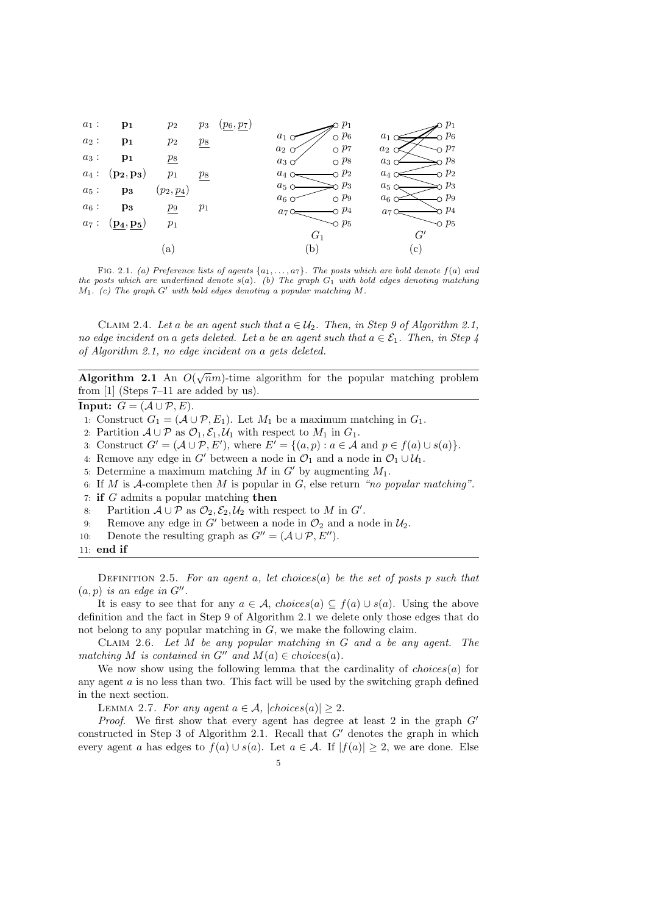

FIG. 2.1. (a) Preference lists of agents  $\{a_1, \ldots, a_7\}$ . The posts which are bold denote  $f(a)$  and the posts which are underlined denote  $s(a)$ . (b) The graph  $G_1$  with bold edges denoting matching  $M_1$ . (c) The graph G' with bold edges denoting a popular matching M.

CLAIM 2.4. Let a be an agent such that  $a \in \mathcal{U}_2$ . Then, in Step 9 of Algorithm 2.1, no edge incident on a gets deleted. Let a be an agent such that  $a \in \mathcal{E}_1$ . Then, in Step 4 of Algorithm 2.1, no edge incident on a gets deleted.

Algorithm 2.1 An  $O(\sqrt{n}m)$ -time algorithm for the popular matching problem from [1] (Steps 7–11 are added by us).

**Input:**  $G = (\mathcal{A} \cup \mathcal{P}, E).$ 

- 1: Construct  $G_1 = (\mathcal{A} \cup \mathcal{P}, E_1)$ . Let  $M_1$  be a maximum matching in  $G_1$ .
- 2: Partition  $A \cup P$  as  $\mathcal{O}_1, \mathcal{E}_1, \mathcal{U}_1$  with respect to  $M_1$  in  $G_1$ .
- 3: Construct  $G' = (\mathcal{A} \cup \mathcal{P}, E')$ , where  $E' = \{(a, p) : a \in \mathcal{A} \text{ and } p \in f(a) \cup s(a)\}.$
- 4: Remove any edge in G' between a node in  $\mathcal{O}_1$  and a node in  $\mathcal{O}_1 \cup \mathcal{U}_1$ .
- 5: Determine a maximum matching M in G' by augmenting  $M_1$ .
- 6: If M is A-complete then M is popular in  $G$ , else return "no popular matching".
- 7: if G admits a popular matching then
- 8: Partition  $\mathcal{A} \cup \mathcal{P}$  as  $\mathcal{O}_2, \mathcal{E}_2, \mathcal{U}_2$  with respect to M in G'.
- 9: Partition  $A \cup P$  as  $\mathcal{O}_2$ ,  $\mathcal{E}_2$ ,  $\mathcal{U}_2$  with respect to M in G'.<br>9: Remove any edge in G' between a node in  $\mathcal{O}_2$  and a node in  $\mathcal{U}_2$ .<br>10: Denote the resulting graph as  $G'' = (A \cup P, E'')$ .
- Denote the resulting graph as  $G'' = (\mathcal{A} \cup \mathcal{P}, E'')$ .
- 11: end if

DEFINITION 2.5. For an agent a, let choices(a) be the set of posts p such that  $(a, p)$  is an edge in  $G''$ .

It is easy to see that for any  $a \in \mathcal{A}$ , choices(a)  $\subseteq f(a) \cup s(a)$ . Using the above definition and the fact in Step 9 of Algorithm 2.1 we delete only those edges that do not belong to any popular matching in G, we make the following claim.

CLAIM 2.6. Let  $M$  be any popular matching in  $G$  and a be any agent. The matching M is contained in  $G''$  and  $M(a) \in choices(a)$ .

We now show using the following lemma that the cardinality of  $choices(a)$  for any agent a is no less than two. This fact will be used by the switching graph defined in the next section.

LEMMA 2.7. For any agent  $a \in \mathcal{A}$ ,  $|choices(a)| \geq 2$ .

*Proof.* We first show that every agent has degree at least 2 in the graph  $G'$ constructed in Step 3 of Algorithm 2.1. Recall that  $G'$  denotes the graph in which every agent a has edges to  $f(a) \cup s(a)$ . Let  $a \in \mathcal{A}$ . If  $|f(a)| \geq 2$ , we are done. Else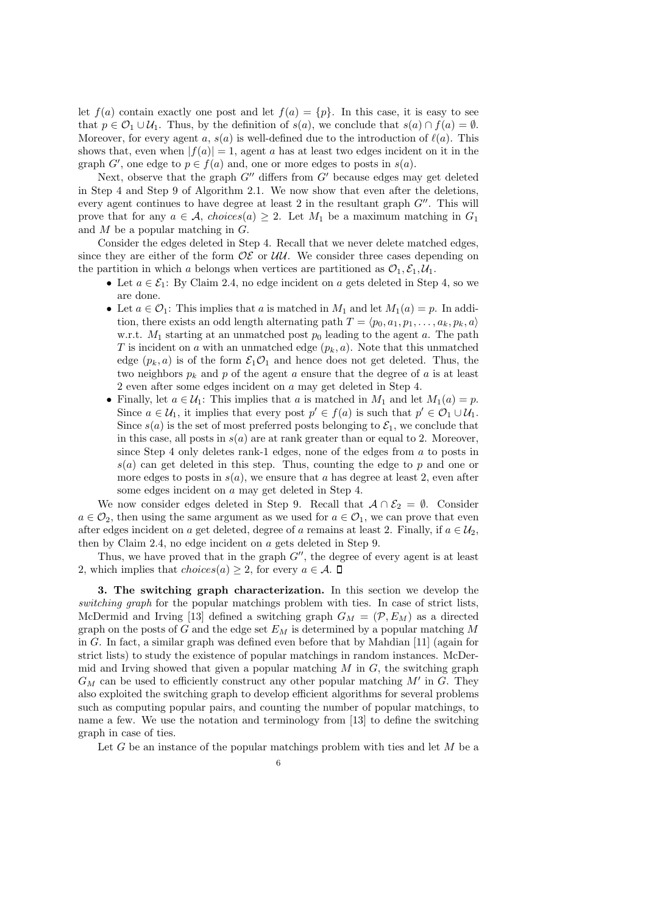let  $f(a)$  contain exactly one post and let  $f(a) = \{p\}$ . In this case, it is easy to see that  $p \in \mathcal{O}_1 \cup \mathcal{U}_1$ . Thus, by the definition of  $s(a)$ , we conclude that  $s(a) \cap f(a) = \emptyset$ . Moreover, for every agent a,  $s(a)$  is well-defined due to the introduction of  $\ell(a)$ . This shows that, even when  $|f(a)| = 1$ , agent a has at least two edges incident on it in the graph  $G'$ , one edge to  $p \in f(a)$  and, one or more edges to posts in  $s(a)$ .

Next, observe that the graph  $G''$  differs from  $G'$  because edges may get deleted in Step 4 and Step 9 of Algorithm 2.1. We now show that even after the deletions, every agent continues to have degree at least  $2$  in the resultant graph  $G''$ . This will prove that for any  $a \in \mathcal{A}$ , choices(a)  $\geq 2$ . Let  $M_1$  be a maximum matching in  $G_1$ and  $M$  be a popular matching in  $G$ .

Consider the edges deleted in Step 4. Recall that we never delete matched edges, since they are either of the form  $\mathcal{OE}$  or  $\mathcal{UU}$ . We consider three cases depending on the partition in which a belongs when vertices are partitioned as  $\mathcal{O}_1, \mathcal{E}_1, \mathcal{U}_1$ .

- Let  $a \in \mathcal{E}_1$ : By Claim 2.4, no edge incident on a gets deleted in Step 4, so we are done.
- Let  $a \in \mathcal{O}_1$ : This implies that a is matched in  $M_1$  and let  $M_1(a) = p$ . In addition, there exists an odd length alternating path  $T = \langle p_0, a_1, p_1, \ldots, a_k, p_k, a \rangle$ w.r.t.  $M_1$  starting at an unmatched post  $p_0$  leading to the agent a. The path T is incident on a with an unmatched edge  $(p_k, a)$ . Note that this unmatched edge  $(p_k, a)$  is of the form  $\mathcal{E}_1 \mathcal{O}_1$  and hence does not get deleted. Thus, the two neighbors  $p_k$  and p of the agent a ensure that the degree of a is at least 2 even after some edges incident on a may get deleted in Step 4.
- Finally, let  $a \in \mathcal{U}_1$ : This implies that a is matched in  $M_1$  and let  $M_1(a) = p$ . Since  $a \in \mathcal{U}_1$ , it implies that every post  $p' \in f(a)$  is such that  $p' \in \mathcal{O}_1 \cup \mathcal{U}_1$ . Since  $s(a)$  is the set of most preferred posts belonging to  $\mathcal{E}_1$ , we conclude that in this case, all posts in  $s(a)$  are at rank greater than or equal to 2. Moreover, since Step 4 only deletes rank-1 edges, none of the edges from a to posts in  $s(a)$  can get deleted in this step. Thus, counting the edge to p and one or more edges to posts in  $s(a)$ , we ensure that a has degree at least 2, even after some edges incident on a may get deleted in Step 4.

We now consider edges deleted in Step 9. Recall that  $A \cap \mathcal{E}_2 = \emptyset$ . Consider  $a \in \mathcal{O}_2$ , then using the same argument as we used for  $a \in \mathcal{O}_1$ , we can prove that even after edges incident on a get deleted, degree of a remains at least 2. Finally, if  $a \in \mathcal{U}_2$ , then by Claim 2.4, no edge incident on a gets deleted in Step 9.

Thus, we have proved that in the graph  $G''$ , the degree of every agent is at least 2, which implies that  $choices(a) \geq 2$ , for every  $a \in \mathcal{A}$ .  $\square$ 

3. The switching graph characterization. In this section we develop the switching graph for the popular matchings problem with ties. In case of strict lists, McDermid and Irving [13] defined a switching graph  $G_M = (\mathcal{P}, E_M)$  as a directed graph on the posts of G and the edge set  $E_M$  is determined by a popular matching M in G. In fact, a similar graph was defined even before that by Mahdian  $[11]$  (again for strict lists) to study the existence of popular matchings in random instances. McDermid and Irving showed that given a popular matching  $M$  in  $G$ , the switching graph  $G_M$  can be used to efficiently construct any other popular matching  $M'$  in  $\widetilde{G}$ . They also exploited the switching graph to develop efficient algorithms for several problems such as computing popular pairs, and counting the number of popular matchings, to name a few. We use the notation and terminology from [13] to define the switching graph in case of ties.

Let G be an instance of the popular matchings problem with ties and let  $M$  be a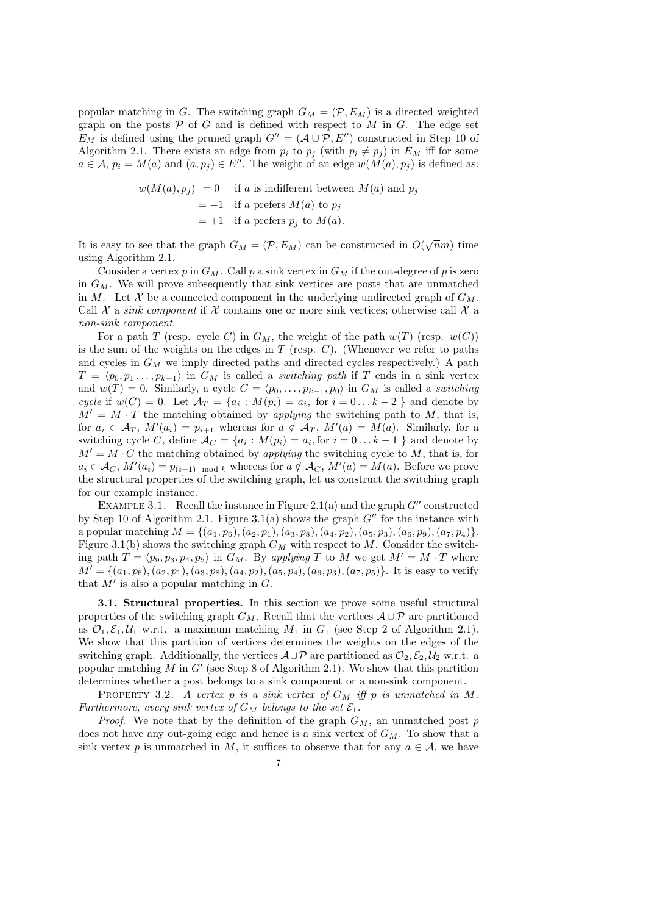popular matching in G. The switching graph  $G_M = (\mathcal{P}, E_M)$  is a directed weighted graph on the posts  $P$  of  $G$  and is defined with respect to  $M$  in  $G$ . The edge set  $E_M$  is defined using the pruned graph  $G'' = (\mathcal{A} \cup \mathcal{P}, E'')$  constructed in Step 10 of Algorithm 2.1. There exists an edge from  $p_i$  to  $p_j$  (with  $p_i \neq p_j$ ) in  $E_M$  iff for some  $a \in \mathcal{A}$ ,  $p_i = M(a)$  and  $(a, p_j) \in E''$ . The weight of an edge  $w(M(a), p_j)$  is defined as:

$$
w(M(a), p_j) = 0 \quad \text{if } a \text{ is indifferent between } M(a) \text{ and } p_j
$$
  
= -1 if a prefers  $M(a)$  to  $p_j$   
= +1 if a prefers  $p_j$  to  $M(a)$ .

It is easy to see that the graph  $G_M = (\mathcal{P}, E_M)$  can be constructed in  $O(\sqrt{n}m)$  time using Algorithm 2.1.

Consider a vertex p in  $G_M$ . Call p a sink vertex in  $G_M$  if the out-degree of p is zero in  $G_M$ . We will prove subsequently that sink vertices are posts that are unmatched in M. Let X be a connected component in the underlying undirected graph of  $G_M$ . Call  $\mathcal X$  a sink component if  $\mathcal X$  contains one or more sink vertices; otherwise call  $\mathcal X$  a non-sink component.

For a path T (resp. cycle C) in  $G_M$ , the weight of the path  $w(T)$  (resp.  $w(C)$ ) is the sum of the weights on the edges in  $T$  (resp.  $C$ ). (Whenever we refer to paths and cycles in  $G_M$  we imply directed paths and directed cycles respectively.) A path  $T = \langle p_0, p_1, \ldots, p_{k-1} \rangle$  in  $G_M$  is called a *switching path* if T ends in a sink vertex and  $w(T) = 0$ . Similarly, a cycle  $C = \langle p_0, \ldots, p_{k-1}, p_0 \rangle$  in  $G_M$  is called a *switching* cycle if  $w(C) = 0$ . Let  $\mathcal{A}_T = \{a_i : M(p_i) = a_i, \text{ for } i = 0 \dots k-2 \}$  and denote by  $M' = M \cdot T$  the matching obtained by *applying* the switching path to M, that is, for  $a_i \in \mathcal{A}_T$ ,  $M'(a_i) = p_{i+1}$  whereas for  $a \notin \mathcal{A}_T$ ,  $M'(a) = M(a)$ . Similarly, for a switching cycle C, define  $A_C = \{a_i : M(p_i) = a_i, \text{for } i = 0 \dots k - 1 \}$  and denote by  $M' = M \cdot C$  the matching obtained by *applying* the switching cycle to M, that is, for  $a_i \in \mathcal{A}_C$ ,  $M'(a_i) = p_{(i+1)} \mod k$  whereas for  $a \notin \mathcal{A}_C$ ,  $M'(a) = M(a)$ . Before we prove the structural properties of the switching graph, let us construct the switching graph for our example instance.

EXAMPLE 3.1. Recall the instance in Figure 2.1(a) and the graph  $G''$  constructed by Step 10 of Algorithm 2.1. Figure 3.1(a) shows the graph  $G''$  for the instance with a popular matching  $M = \{(a_1, p_6), (a_2, p_1), (a_3, p_8), (a_4, p_2), (a_5, p_3), (a_6, p_9), (a_7, p_4)\}.$ Figure 3.1(b) shows the switching graph  $G_M$  with respect to M. Consider the switching path  $T = \langle p_9, p_3, p_4, p_5 \rangle$  in  $G_M$ . By applying T to M we get  $M' = M \cdot T$  where  $M' = \{(a_1, p_6), (a_2, p_1), (a_3, p_8), (a_4, p_2), (a_5, p_4), (a_6, p_3), (a_7, p_5)\}.$  It is easy to verify that  $\overline{M'}$  is also a popular matching in  $\overline{G}$ .

3.1. Structural properties. In this section we prove some useful structural properties of the switching graph  $G_M$ . Recall that the vertices  $A \cup P$  are partitioned as  $\mathcal{O}_1, \mathcal{E}_1, \mathcal{U}_1$  w.r.t. a maximum matching  $M_1$  in  $G_1$  (see Step 2 of Algorithm 2.1). We show that this partition of vertices determines the weights on the edges of the switching graph. Additionally, the vertices  $A\cup P$  are partitioned as  $\mathcal{O}_2$ ,  $\mathcal{E}_2$ ,  $\mathcal{U}_2$  w.r.t. a popular matching  $M$  in  $G'$  (see Step 8 of Algorithm 2.1). We show that this partition determines whether a post belongs to a sink component or a non-sink component.

PROPERTY 3.2. A vertex p is a sink vertex of  $G_M$  iff p is unmatched in M. Furthermore, every sink vertex of  $G_M$  belongs to the set  $\mathcal{E}_1$ .

*Proof.* We note that by the definition of the graph  $G_M$ , an unmatched post p does not have any out-going edge and hence is a sink vertex of  $G_M$ . To show that a sink vertex p is unmatched in M, it suffices to observe that for any  $a \in \mathcal{A}$ , we have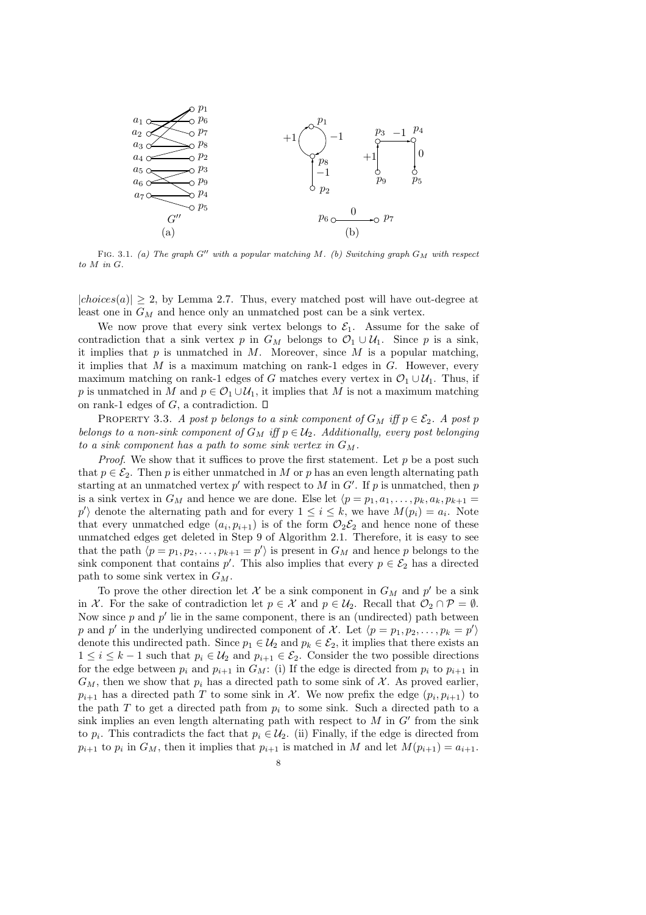

FIG. 3.1. (a) The graph G'' with a popular matching M. (b) Switching graph  $G_M$  with respect to M in G.

 $|choices(a)| \geq 2$ , by Lemma 2.7. Thus, every matched post will have out-degree at least one in  $G_M$  and hence only an unmatched post can be a sink vertex.

We now prove that every sink vertex belongs to  $\mathcal{E}_1$ . Assume for the sake of contradiction that a sink vertex p in  $G_M$  belongs to  $\mathcal{O}_1 \cup \mathcal{U}_1$ . Since p is a sink, it implies that  $p$  is unmatched in  $M$ . Moreover, since  $M$  is a popular matching, it implies that M is a maximum matching on rank-1 edges in  $G$ . However, every maximum matching on rank-1 edges of G matches every vertex in  $\mathcal{O}_1 \cup \mathcal{U}_1$ . Thus, if p is unmatched in M and  $p \in \mathcal{O}_1 \cup \mathcal{U}_1$ , it implies that M is not a maximum matching on rank-1 edges of G, a contradiction.  $\square$ 

PROPERTY 3.3. A post p belongs to a sink component of  $G_M$  iff  $p \in \mathcal{E}_2$ . A post p belongs to a non-sink component of  $G_M$  iff  $p \in \mathcal{U}_2$ . Additionally, every post belonging to a sink component has a path to some sink vertex in  $G_M$ .

*Proof.* We show that it suffices to prove the first statement. Let  $p$  be a post such that  $p \in \mathcal{E}_2$ . Then p is either unmatched in M or p has an even length alternating path starting at an unmatched vertex  $p'$  with respect to M in G'. If p is unmatched, then p is a sink vertex in  $G_M$  and hence we are done. Else let  $\langle p = p_1, a_1, \ldots, p_k, a_k, p_{k+1} =$ p') denote the alternating path and for every  $1 \leq i \leq k$ , we have  $M(p_i) = a_i$ . Note that every unmatched edge  $(a_i, p_{i+1})$  is of the form  $\mathcal{O}_2\mathcal{E}_2$  and hence none of these unmatched edges get deleted in Step 9 of Algorithm 2.1. Therefore, it is easy to see that the path  $\langle p = p_1, p_2, \ldots, p_{k+1} = p' \rangle$  is present in  $G_M$  and hence p belongs to the sink component that contains p'. This also implies that every  $p \in \mathcal{E}_2$  has a directed path to some sink vertex in  $G_M$ .

To prove the other direction let  $\mathcal X$  be a sink component in  $G_M$  and  $p'$  be a sink in X. For the sake of contradiction let  $p \in \mathcal{X}$  and  $p \in \mathcal{U}_2$ . Recall that  $\mathcal{O}_2 \cap \mathcal{P} = \emptyset$ . Now since  $p$  and  $p'$  lie in the same component, there is an (undirected) path between p and p' in the underlying undirected component of X. Let  $\langle p = p_1, p_2, \ldots, p_k = p' \rangle$ denote this undirected path. Since  $p_1 \in \mathcal{U}_2$  and  $p_k \in \mathcal{E}_2$ , it implies that there exists an  $1 \leq i \leq k-1$  such that  $p_i \in \mathcal{U}_2$  and  $p_{i+1} \in \mathcal{E}_2$ . Consider the two possible directions for the edge between  $p_i$  and  $p_{i+1}$  in  $G_M$ : (i) If the edge is directed from  $p_i$  to  $p_{i+1}$  in  $G_M$ , then we show that  $p_i$  has a directed path to some sink of X. As proved earlier,  $p_{i+1}$  has a directed path T to some sink in X. We now prefix the edge  $(p_i, p_{i+1})$  to the path T to get a directed path from  $p_i$  to some sink. Such a directed path to a sink implies an even length alternating path with respect to  $M$  in  $G'$  from the sink to  $p_i$ . This contradicts the fact that  $p_i \in U_2$ . (ii) Finally, if the edge is directed from  $p_{i+1}$  to  $p_i$  in  $G_M$ , then it implies that  $p_{i+1}$  is matched in M and let  $M(p_{i+1}) = a_{i+1}$ .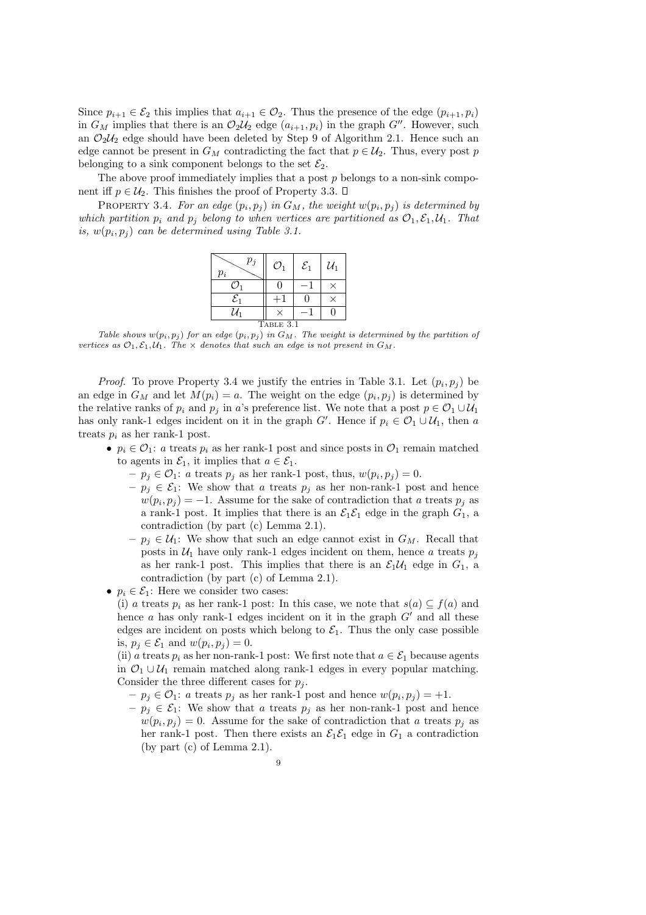Since  $p_{i+1} \in \mathcal{E}_2$  this implies that  $a_{i+1} \in \mathcal{O}_2$ . Thus the presence of the edge  $(p_{i+1}, p_i)$ in  $G_M$  implies that there is an  $\mathcal{O}_2\mathcal{U}_2$  edge  $(a_{i+1}, p_i)$  in the graph  $G''$ . However, such an  $\mathcal{O}_2\mathcal{U}_2$  edge should have been deleted by Step 9 of Algorithm 2.1. Hence such an edge cannot be present in  $G_M$  contradicting the fact that  $p \in \mathcal{U}_2$ . Thus, every post p belonging to a sink component belongs to the set  $\mathcal{E}_2$ .

The above proof immediately implies that a post  $p$  belongs to a non-sink component iff  $p \in \mathcal{U}_2$ . This finishes the proof of Property 3.3.  $\Box$ 

PROPERTY 3.4. For an edge  $(p_i, p_j)$  in  $G_M$ , the weight  $w(p_i, p_j)$  is determined by which partition  $p_i$  and  $p_j$  belong to when vertices are partitioned as  $\mathcal{O}_1, \mathcal{E}_1, \mathcal{U}_1$ . That is,  $w(p_i, p_j)$  can be determined using Table 3.1.

| $p_j$<br>$p_i$  | $\mathcal{O}_1$ | $\mathcal{E}_1$ | $\mathcal{U}_1$ |
|-----------------|-----------------|-----------------|-----------------|
| Ω,              |                 |                 |                 |
| $\mathcal{E}_1$ |                 |                 |                 |
| $\mathcal{U}_1$ |                 |                 |                 |
| TABLE 3.1       |                 |                 |                 |

Table shows  $w(p_i, p_j)$  for an edge  $(p_i, p_j)$  in  $G_M$ . The weight is determined by the partition of vertices as  $\mathcal{O}_1, \mathcal{E}_1, \mathcal{U}_1$ . The  $\times$  denotes that such an edge is not present in  $G_M$ .

*Proof.* To prove Property 3.4 we justify the entries in Table 3.1. Let  $(p_i, p_j)$  be an edge in  $G_M$  and let  $M(p_i) = a$ . The weight on the edge  $(p_i, p_j)$  is determined by the relative ranks of  $p_i$  and  $p_j$  in a's preference list. We note that a post  $p \in \mathcal{O}_1 \cup \mathcal{U}_1$ has only rank-1 edges incident on it in the graph  $G'$ . Hence if  $p_i \in \mathcal{O}_1 \cup \mathcal{U}_1$ , then a treats  $p_i$  as her rank-1 post.

- $p_i \in \mathcal{O}_1$ : a treats  $p_i$  as her rank-1 post and since posts in  $\mathcal{O}_1$  remain matched to agents in  $\mathcal{E}_1$ , it implies that  $a \in \mathcal{E}_1$ .
	- $-p_j \in \mathcal{O}_1$ : a treats  $p_j$  as her rank-1 post, thus,  $w(p_i, p_j) = 0$ .
	- $-p_j \in \mathcal{E}_1$ : We show that a treats  $p_j$  as her non-rank-1 post and hence  $w(p_i, p_j) = -1$ . Assume for the sake of contradiction that a treats  $p_j$  as a rank-1 post. It implies that there is an  $\mathcal{E}_1 \mathcal{E}_1$  edge in the graph  $G_1$ , a contradiction (by part (c) Lemma 2.1).
	- $-p_i \in U_1$ : We show that such an edge cannot exist in  $G_M$ . Recall that posts in  $U_1$  have only rank-1 edges incident on them, hence a treats  $p_j$ as her rank-1 post. This implies that there is an  $\mathcal{E}_1 \mathcal{U}_1$  edge in  $G_1$ , a contradiction (by part (c) of Lemma 2.1).
- $p_i \in \mathcal{E}_1$ : Here we consider two cases:
	- (i) a treats  $p_i$  as her rank-1 post: In this case, we note that  $s(a) \subseteq f(a)$  and hence  $a$  has only rank-1 edges incident on it in the graph  $G'$  and all these edges are incident on posts which belong to  $\mathcal{E}_1$ . Thus the only case possible is,  $p_j \in \mathcal{E}_1$  and  $w(p_i, p_j) = 0$ .

(ii) a treats  $p_i$  as her non-rank-1 post: We first note that  $a \in \mathcal{E}_1$  because agents in  $\mathcal{O}_1 \cup \mathcal{U}_1$  remain matched along rank-1 edges in every popular matching. Consider the three different cases for  $p_i$ .

- $-p_j \in \mathcal{O}_1$ : a treats  $p_j$  as her rank-1 post and hence  $w(p_i, p_j) = +1$ .
- $-p_j \in \mathcal{E}_1$ : We show that a treats  $p_j$  as her non-rank-1 post and hence  $w(p_i, p_j) = 0$ . Assume for the sake of contradiction that a treats  $p_j$  as her rank-1 post. Then there exists an  $\mathcal{E}_1 \mathcal{E}_1$  edge in  $G_1$  a contradiction (by part (c) of Lemma 2.1).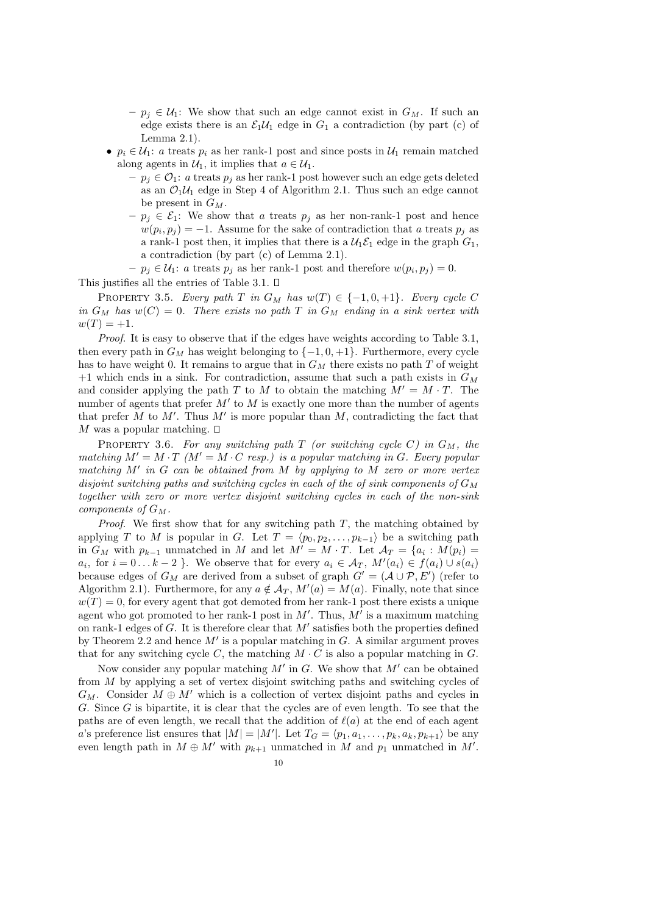- $-p_j \in \mathcal{U}_1$ : We show that such an edge cannot exist in  $G_M$ . If such an edge exists there is an  $\mathcal{E}_1\mathcal{U}_1$  edge in  $G_1$  a contradiction (by part (c) of Lemma 2.1).
- $p_i \in \mathcal{U}_1$ : a treats  $p_i$  as her rank-1 post and since posts in  $\mathcal{U}_1$  remain matched along agents in  $\mathcal{U}_1$ , it implies that  $a \in \mathcal{U}_1$ .
	- $-p_j \in \mathcal{O}_1$ : a treats  $p_j$  as her rank-1 post however such an edge gets deleted as an  $\mathcal{O}_1\mathcal{U}_1$  edge in Step 4 of Algorithm 2.1. Thus such an edge cannot be present in  $G_M$ .
	- $-p_j \in \mathcal{E}_1$ : We show that a treats  $p_j$  as her non-rank-1 post and hence  $w(p_i, p_j) = -1$ . Assume for the sake of contradiction that a treats  $p_j$  as a rank-1 post then, it implies that there is a  $\mathcal{U}_1 \mathcal{E}_1$  edge in the graph  $G_1$ , a contradiction (by part (c) of Lemma 2.1).

 $-p_j \in \mathcal{U}_1$ : a treats  $p_j$  as her rank-1 post and therefore  $w(p_i, p_j) = 0$ . This justifies all the entries of Table 3.1.  $\square$ 

PROPERTY 3.5. Every path T in  $G_M$  has  $w(T) \in \{-1, 0, +1\}$ . Every cycle C in  $G_M$  has  $w(C) = 0$ . There exists no path T in  $G_M$  ending in a sink vertex with  $w(T) = +1.$ 

Proof. It is easy to observe that if the edges have weights according to Table 3.1, then every path in  $G_M$  has weight belonging to  $\{-1,0,+1\}$ . Furthermore, every cycle has to have weight 0. It remains to argue that in  $G_M$  there exists no path T of weight +1 which ends in a sink. For contradiction, assume that such a path exists in  $G_M$ and consider applying the path T to M to obtain the matching  $M' = M \cdot T$ . The number of agents that prefer  $M'$  to  $M$  is exactly one more than the number of agents that prefer  $\tilde{M}$  to  $M'$ . Thus  $M'$  is more popular than  $M$ , contradicting the fact that M was a popular matching.  $\square$ 

PROPERTY 3.6. For any switching path  $T$  (or switching cycle C) in  $G_M$ , the matching  $M' = M \cdot T$  ( $M' = M \cdot C$  resp.) is a popular matching in G. Every popular matching  $M'$  in  $G$  can be obtained from  $M$  by applying to  $\widetilde{M}$  zero or more vertex disjoint switching paths and switching cycles in each of the of sink components of  $G_M$ together with zero or more vertex disjoint switching cycles in each of the non-sink components of  $G_M$ .

*Proof.* We first show that for any switching path  $T$ , the matching obtained by applying T to M is popular in G. Let  $T = \langle p_0, p_2, \ldots, p_{k-1} \rangle$  be a switching path in  $G_M$  with  $p_{k-1}$  unmatched in M and let  $M' = M \cdot T$ . Let  $\mathcal{A}_T = \{a_i : M(p_i) =$  $a_i$ , for  $i = 0...k-2$  }. We observe that for every  $a_i \in A_T$ ,  $M'(a_i) \in f(a_i) \cup s(a_i)$ because edges of  $G_M$  are derived from a subset of graph  $G' = (A \cup P, E')$  (refer to Algorithm 2.1). Furthermore, for any  $a \notin \mathcal{A}_T$ ,  $M'(a) = M(a)$ . Finally, note that since  $w(T) = 0$ , for every agent that got demoted from her rank-1 post there exists a unique agent who got promoted to her rank-1 post in  $M'$ . Thus,  $M'$  is a maximum matching on rank-1 edges of G. It is therefore clear that  $M'$  satisfies both the properties defined by Theorem 2.2 and hence  $M'$  is a popular matching in G. A similar argument proves that for any switching cycle C, the matching  $M \cdot C$  is also a popular matching in G.

Now consider any popular matching  $M'$  in  $G$ . We show that  $M'$  can be obtained from M by applying a set of vertex disjoint switching paths and switching cycles of  $G_M$ . Consider  $M \oplus M'$  which is a collection of vertex disjoint paths and cycles in G. Since G is bipartite, it is clear that the cycles are of even length. To see that the paths are of even length, we recall that the addition of  $\ell(a)$  at the end of each agent a's preference list ensures that  $|M| = |M'|$ . Let  $T_G = \langle p_1, a_1, \ldots, p_k, a_k, p_{k+1} \rangle$  be any even length path in  $M \oplus M'$  with  $p_{k+1}$  unmatched in  $M$  and  $p_1$  unmatched in  $M'$ .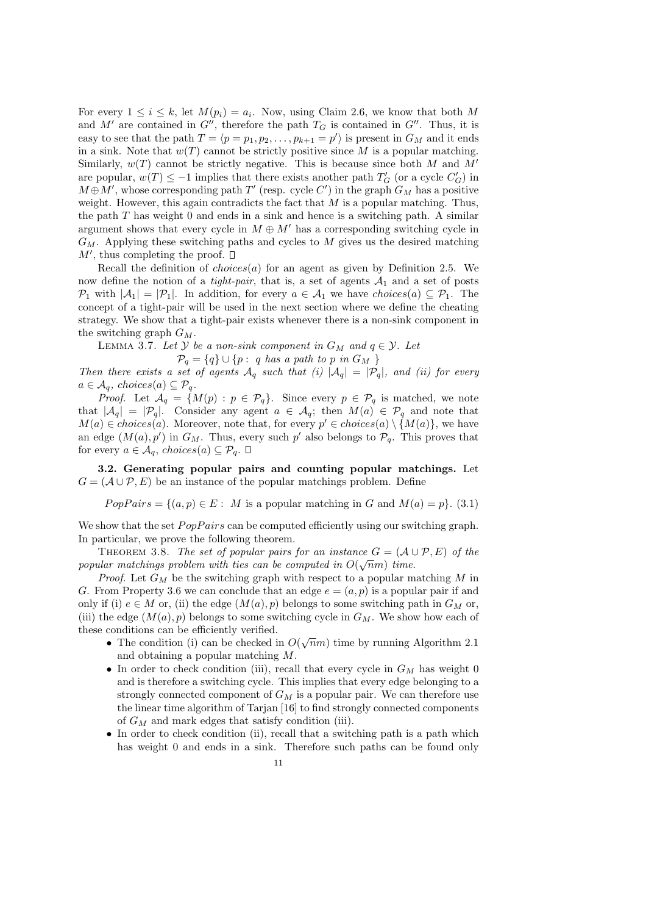For every  $1 \leq i \leq k$ , let  $M(p_i) = a_i$ . Now, using Claim 2.6, we know that both M and M' are contained in  $G''$ , therefore the path  $T_G$  is contained in  $G''$ . Thus, it is easy to see that the path  $T = \langle p = p_1, p_2, \ldots, p_{k+1} = p' \rangle$  is present in  $G_M$  and it ends in a sink. Note that  $w(T)$  cannot be strictly positive since M is a popular matching. Similarly,  $w(T)$  cannot be strictly negative. This is because since both M and M' are popular,  $w(T) \le -1$  implies that there exists another path  $T_G'$  (or a cycle  $C_G'$ ) in  $M \oplus M'$ , whose corresponding path  $T'$  (resp. cycle C') in the graph  $G_M$  has a positive weight. However, this again contradicts the fact that  $M$  is a popular matching. Thus, the path  $T$  has weight 0 and ends in a sink and hence is a switching path. A similar argument shows that every cycle in  $M \oplus M'$  has a corresponding switching cycle in  $G_M$ . Applying these switching paths and cycles to M gives us the desired matching  $M'$ , thus completing the proof.

Recall the definition of  $choices(a)$  for an agent as given by Definition 2.5. We now define the notion of a *tight-pair*, that is, a set of agents  $A_1$  and a set of posts  $\mathcal{P}_1$  with  $|\mathcal{A}_1| = |\mathcal{P}_1|$ . In addition, for every  $a \in \mathcal{A}_1$  we have choices(a)  $\subseteq \mathcal{P}_1$ . The concept of a tight-pair will be used in the next section where we define the cheating strategy. We show that a tight-pair exists whenever there is a non-sink component in the switching graph  $G_M$ .

LEMMA 3.7. Let  $\mathcal Y$  be a non-sink component in  $G_M$  and  $q \in \mathcal Y$ . Let

$$
\mathcal{P}_q = \{q\} \cup \{p : q \text{ has a path to } p \text{ in } G_M \}
$$

Then there exists a set of agents  $A_q$  such that (i)  $|A_q| = |\mathcal{P}_q|$ , and (ii) for every  $a \in \mathcal{A}_q$ , choices $(a) \subseteq \mathcal{P}_q$ .

*Proof.* Let  $\mathcal{A}_q = \{M(p) : p \in \mathcal{P}_q\}$ . Since every  $p \in \mathcal{P}_q$  is matched, we note that  $|\mathcal{A}_q| = |\mathcal{P}_q|$ . Consider any agent  $a \in \mathcal{A}_q$ ; then  $M(a) \in \mathcal{P}_q$  and note that  $M(a) \in choices(a)$ . Moreover, note that, for every  $p' \in choices(a) \setminus \{M(a)\}$ , we have an edge  $(M(a), p')$  in  $G_M$ . Thus, every such  $p'$  also belongs to  $\mathcal{P}_q$ . This proves that for every  $a \in \mathcal{A}_q$ , choices $(a) \subseteq \mathcal{P}_q$ .  $\square$ 

3.2. Generating popular pairs and counting popular matchings. Let  $G = (\mathcal{A} \cup \mathcal{P}, E)$  be an instance of the popular matchings problem. Define

 $PopPairs = \{(a, p) \in E: M \text{ is a popular matching in } G \text{ and } M(a) = p\}.$  (3.1)

We show that the set  $PopPairs$  can be computed efficiently using our switching graph. In particular, we prove the following theorem.

THEOREM 3.8. The set of popular pairs for an instance  $G = (\mathcal{A} \cup \mathcal{P}, E)$  of the popular matchings problem with ties can be computed in  $O(\sqrt{n}m)$  time.

*Proof.* Let  $G_M$  be the switching graph with respect to a popular matching M in G. From Property 3.6 we can conclude that an edge  $e = (a, p)$  is a popular pair if and only if (i)  $e \in M$  or, (ii) the edge  $(M(a), p)$  belongs to some switching path in  $G_M$  or, (iii) the edge  $(M(a), p)$  belongs to some switching cycle in  $G_M$ . We show how each of these conditions can be efficiently verified.

- The condition (i) can be checked in  $O(\sqrt{n}m)$  time by running Algorithm 2.1 and obtaining a popular matching M.
- In order to check condition (iii), recall that every cycle in  $G_M$  has weight 0 and is therefore a switching cycle. This implies that every edge belonging to a strongly connected component of  $G_M$  is a popular pair. We can therefore use the linear time algorithm of Tarjan [16] to find strongly connected components of  $G_M$  and mark edges that satisfy condition (iii).
- In order to check condition (ii), recall that a switching path is a path which has weight 0 and ends in a sink. Therefore such paths can be found only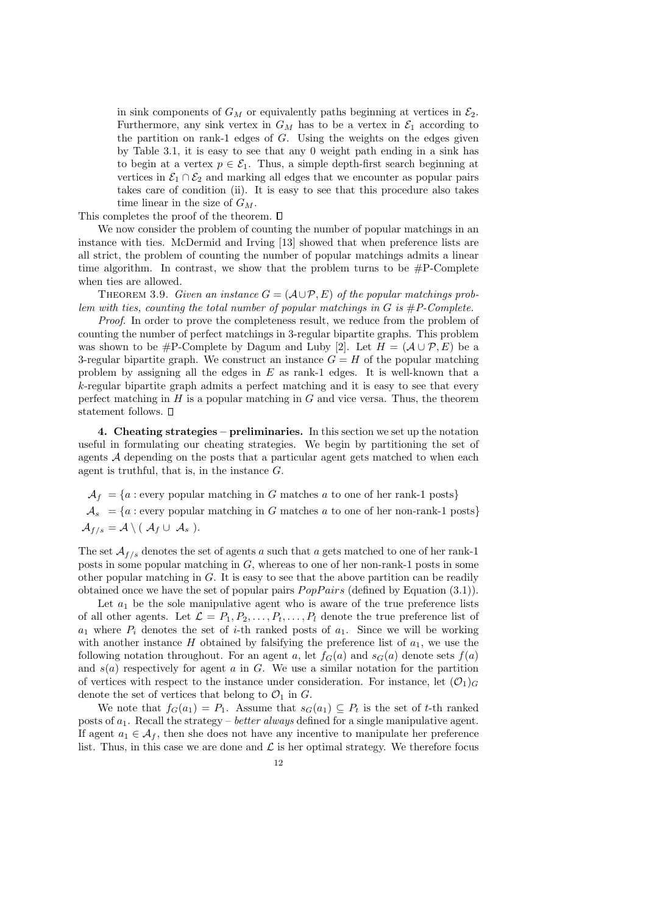in sink components of  $G_M$  or equivalently paths beginning at vertices in  $\mathcal{E}_2$ . Furthermore, any sink vertex in  $G_M$  has to be a vertex in  $\mathcal{E}_1$  according to the partition on rank-1 edges of  $G$ . Using the weights on the edges given by Table 3.1, it is easy to see that any 0 weight path ending in a sink has to begin at a vertex  $p \in \mathcal{E}_1$ . Thus, a simple depth-first search beginning at vertices in  $\mathcal{E}_1 \cap \mathcal{E}_2$  and marking all edges that we encounter as popular pairs takes care of condition (ii). It is easy to see that this procedure also takes time linear in the size of  $G_M$ .

This completes the proof of the theorem.  $\square$ 

We now consider the problem of counting the number of popular matchings in an instance with ties. McDermid and Irving [13] showed that when preference lists are all strict, the problem of counting the number of popular matchings admits a linear time algorithm. In contrast, we show that the problem turns to be  $\#P$ -Complete when ties are allowed.

THEOREM 3.9. Given an instance  $G = (\mathcal{A} \cup \mathcal{P}, E)$  of the popular matchings problem with ties, counting the total number of popular matchings in  $G$  is  $\#P$ -Complete.

Proof. In order to prove the completeness result, we reduce from the problem of counting the number of perfect matchings in 3-regular bipartite graphs. This problem was shown to be #P-Complete by Dagum and Luby [2]. Let  $H = (\mathcal{A} \cup \mathcal{P}, E)$  be a 3-regular bipartite graph. We construct an instance  $G = H$  of the popular matching problem by assigning all the edges in E as rank-1 edges. It is well-known that a k-regular bipartite graph admits a perfect matching and it is easy to see that every perfect matching in  $H$  is a popular matching in  $G$  and vice versa. Thus, the theorem statement follows.  $\square$ 

4. Cheating strategies – preliminaries. In this section we set up the notation useful in formulating our cheating strategies. We begin by partitioning the set of agents A depending on the posts that a particular agent gets matched to when each agent is truthful, that is, in the instance  $G$ .

 $\mathcal{A}_f = \{a : \text{every popular matching in } G \text{ matches } a \text{ to one of her rank-1 posts}\}\$  $A_s = \{a : \text{every popular matching in } G \text{ matches } a \text{ to one of her non-rank-1 posts}\}\$  $A_{f/s} = A \setminus (A_f \cup A_s).$ 

The set  $A_{f/s}$  denotes the set of agents a such that a gets matched to one of her rank-1 posts in some popular matching in G, whereas to one of her non-rank-1 posts in some other popular matching in G. It is easy to see that the above partition can be readily obtained once we have the set of popular pairs  $PopPairs$  (defined by Equation (3.1)).

Let  $a_1$  be the sole manipulative agent who is aware of the true preference lists of all other agents. Let  $\mathcal{L} = P_1, P_2, \ldots, P_t, \ldots, P_l$  denote the true preference list of  $a_1$  where  $P_i$  denotes the set of *i*-th ranked posts of  $a_1$ . Since we will be working with another instance H obtained by falsifying the preference list of  $a_1$ , we use the following notation throughout. For an agent a, let  $f_G(a)$  and  $s_G(a)$  denote sets  $f(a)$ and  $s(a)$  respectively for agent a in G. We use a similar notation for the partition of vertices with respect to the instance under consideration. For instance, let  $(\mathcal{O}_1)_G$ denote the set of vertices that belong to  $\mathcal{O}_1$  in  $G$ .

We note that  $f_G(a_1) = P_1$ . Assume that  $s_G(a_1) \subseteq P_t$  is the set of t-th ranked posts of  $a_1$ . Recall the strategy – *better always* defined for a single manipulative agent. If agent  $a_1 \in \mathcal{A}_f$ , then she does not have any incentive to manipulate her preference list. Thus, in this case we are done and  $\mathcal L$  is her optimal strategy. We therefore focus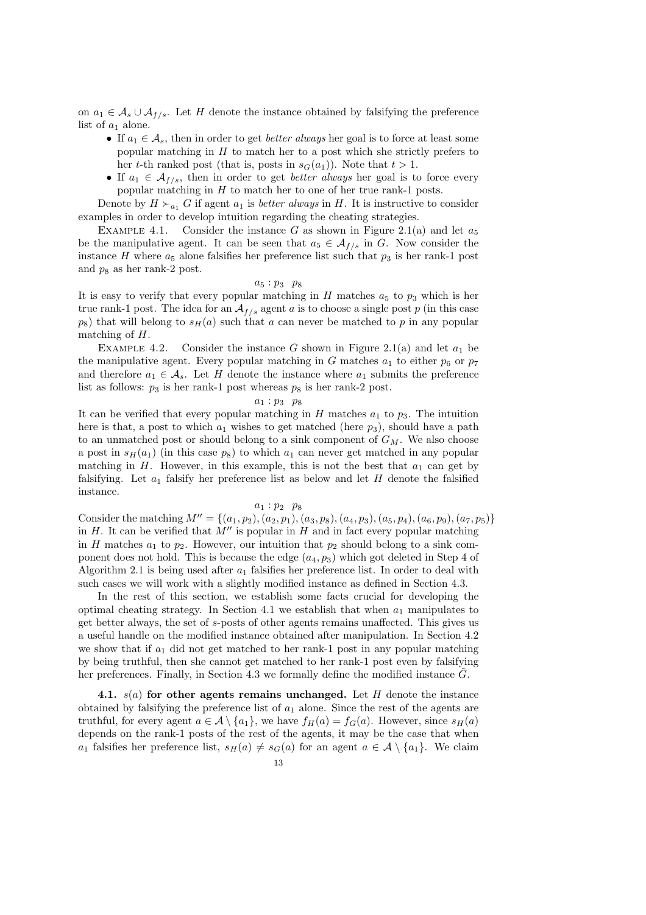on  $a_1$  ∈  $\mathcal{A}_s \cup \mathcal{A}_{f/s}$ . Let H denote the instance obtained by falsifying the preference list of  $a_1$  alone.

- If  $a_1 \in \mathcal{A}_s$ , then in order to get *better always* her goal is to force at least some popular matching in  $H$  to match her to a post which she strictly prefers to her t-th ranked post (that is, posts in  $s_G(a_1)$ ). Note that  $t > 1$ .
- If  $a_1 \in \mathcal{A}_{f/s}$ , then in order to get *better always* her goal is to force every popular matching in H to match her to one of her true rank-1 posts.

Denote by  $H \succ_{a_1} G$  if agent  $a_1$  is *better always* in H. It is instructive to consider examples in order to develop intuition regarding the cheating strategies.

EXAMPLE 4.1. Consider the instance G as shown in Figure 2.1(a) and let  $a_5$ be the manipulative agent. It can be seen that  $a_5 \in \mathcal{A}_{f/s}$  in G. Now consider the instance H where  $a_5$  alone falsifies her preference list such that  $p_3$  is her rank-1 post and  $p_8$  as her rank-2 post.

### $a_5 : p_3 \quad p_8$

It is easy to verify that every popular matching in H matches  $a_5$  to  $p_3$  which is her true rank-1 post. The idea for an  $A_{f/s}$  agent a is to choose a single post p (in this case  $p_8$ ) that will belong to  $s_H(a)$  such that a can never be matched to p in any popular matching of H.

EXAMPLE 4.2. Consider the instance G shown in Figure 2.1(a) and let  $a_1$  be the manipulative agent. Every popular matching in G matches  $a_1$  to either  $p_6$  or  $p_7$ and therefore  $a_1 \in \mathcal{A}_s$ . Let H denote the instance where  $a_1$  submits the preference list as follows:  $p_3$  is her rank-1 post whereas  $p_8$  is her rank-2 post.

#### $a_1 : p_3 \ p_8$

It can be verified that every popular matching in H matches  $a_1$  to  $p_3$ . The intuition here is that, a post to which  $a_1$  wishes to get matched (here  $p_3$ ), should have a path to an unmatched post or should belong to a sink component of  $G_M$ . We also choose a post in  $s_H(a_1)$  (in this case  $p_8$ ) to which  $a_1$  can never get matched in any popular matching in H. However, in this example, this is not the best that  $a_1$  can get by falsifying. Let  $a_1$  falsify her preference list as below and let H denote the falsified instance.

## $a_1 : p_2 \ p_8$

Consider the matching  $M'' = \{(a_1, p_2), (a_2, p_1), (a_3, p_8), (a_4, p_3), (a_5, p_4), (a_6, p_9), (a_7, p_5)\}\$ in  $H$ . It can be verified that  $M''$  is popular in  $H$  and in fact every popular matching in H matches  $a_1$  to  $p_2$ . However, our intuition that  $p_2$  should belong to a sink component does not hold. This is because the edge  $(a_4, p_3)$  which got deleted in Step 4 of Algorithm 2.1 is being used after  $a_1$  falsifies her preference list. In order to deal with such cases we will work with a slightly modified instance as defined in Section 4.3.

In the rest of this section, we establish some facts crucial for developing the optimal cheating strategy. In Section 4.1 we establish that when  $a_1$  manipulates to get better always, the set of s-posts of other agents remains unaffected. This gives us a useful handle on the modified instance obtained after manipulation. In Section 4.2 we show that if  $a_1$  did not get matched to her rank-1 post in any popular matching by being truthful, then she cannot get matched to her rank-1 post even by falsifying her preferences. Finally, in Section 4.3 we formally define the modified instance  $\tilde{G}$ .

4.1.  $s(a)$  for other agents remains unchanged. Let H denote the instance obtained by falsifying the preference list of  $a_1$  alone. Since the rest of the agents are truthful, for every agent  $a \in \mathcal{A} \setminus \{a_1\}$ , we have  $f_H(a) = f_G(a)$ . However, since  $s_H(a)$ depends on the rank-1 posts of the rest of the agents, it may be the case that when  $a_1$  falsifies her preference list,  $s_H(a) \neq s_G(a)$  for an agent  $a \in \mathcal{A} \setminus \{a_1\}$ . We claim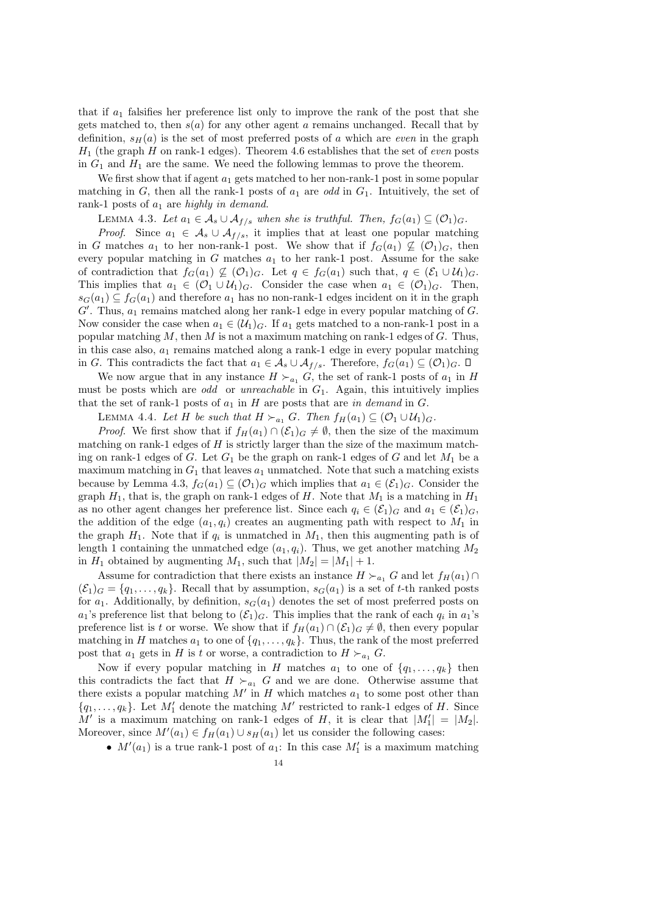that if  $a_1$  falsifies her preference list only to improve the rank of the post that she gets matched to, then  $s(a)$  for any other agent a remains unchanged. Recall that by definition,  $s_H(a)$  is the set of most preferred posts of a which are even in the graph  $H_1$  (the graph H on rank-1 edges). Theorem 4.6 establishes that the set of even posts in  $G_1$  and  $H_1$  are the same. We need the following lemmas to prove the theorem.

We first show that if agent  $a_1$  gets matched to her non-rank-1 post in some popular matching in G, then all the rank-1 posts of  $a_1$  are odd in  $G_1$ . Intuitively, the set of rank-1 posts of  $a_1$  are highly in demand.

LEMMA 4.3. Let  $a_1 \in \mathcal{A}_s \cup \mathcal{A}_{f/s}$  when she is truthful. Then,  $f_G(a_1) \subseteq (\mathcal{O}_1)_G$ .

*Proof.* Since  $a_1 \in A_s \cup A_{f/s}$ , it implies that at least one popular matching in G matches  $a_1$  to her non-rank-1 post. We show that if  $f_G(a_1) \nsubseteq (\mathcal{O}_1)_G$ , then every popular matching in G matches  $a_1$  to her rank-1 post. Assume for the sake of contradiction that  $f_G(a_1) \nsubseteq (\mathcal{O}_1)_G$ . Let  $q \in f_G(a_1)$  such that,  $q \in (\mathcal{E}_1 \cup \mathcal{U}_1)_G$ . This implies that  $a_1 \in (\mathcal{O}_1 \cup \mathcal{U}_1)_G$ . Consider the case when  $a_1 \in (\mathcal{O}_1)_G$ . Then,  $s_G(a_1) \subseteq f_G(a_1)$  and therefore  $a_1$  has no non-rank-1 edges incident on it in the graph  $G'$ . Thus,  $a_1$  remains matched along her rank-1 edge in every popular matching of  $G$ . Now consider the case when  $a_1 \in (\mathcal{U}_1)_G$ . If  $a_1$  gets matched to a non-rank-1 post in a popular matching  $M$ , then  $M$  is not a maximum matching on rank-1 edges of  $G$ . Thus, in this case also,  $a_1$  remains matched along a rank-1 edge in every popular matching in G. This contradicts the fact that  $a_1 \in A_s \cup A_{f/s}$ . Therefore,  $f_G(a_1) \subseteq (0_1)_G$ .  $\square$ 

We now argue that in any instance  $H \succ_{a_1} G$ , the set of rank-1 posts of  $a_1$  in H must be posts which are odd or unreachable in  $G_1$ . Again, this intuitively implies that the set of rank-1 posts of  $a_1$  in H are posts that are in demand in G.

LEMMA 4.4. Let H be such that  $H \succ_{a_1} G$ . Then  $f_H(a_1) \subseteq (\mathcal{O}_1 \cup \mathcal{U}_1)_G$ .

*Proof.* We first show that if  $f_H(a_1) \cap (\mathcal{E}_1)_G \neq \emptyset$ , then the size of the maximum matching on rank-1 edges of  $H$  is strictly larger than the size of the maximum matching on rank-1 edges of  $G$ . Let  $G_1$  be the graph on rank-1 edges of  $G$  and let  $M_1$  be a maximum matching in  $G_1$  that leaves  $a_1$  unmatched. Note that such a matching exists because by Lemma 4.3,  $f_G(a_1) \subseteq (\mathcal{O}_1)_G$  which implies that  $a_1 \in (\mathcal{E}_1)_G$ . Consider the graph  $H_1$ , that is, the graph on rank-1 edges of H. Note that  $M_1$  is a matching in  $H_1$ as no other agent changes her preference list. Since each  $q_i \in (\mathcal{E}_1)_G$  and  $a_1 \in (\mathcal{E}_1)_G$ , the addition of the edge  $(a_1, q_i)$  creates an augmenting path with respect to  $M_1$  in the graph  $H_1$ . Note that if  $q_i$  is unmatched in  $M_1$ , then this augmenting path is of length 1 containing the unmatched edge  $(a_1, q_i)$ . Thus, we get another matching  $M_2$ in  $H_1$  obtained by augmenting  $M_1$ , such that  $|M_2| = |M_1| + 1$ .

Assume for contradiction that there exists an instance  $H \succ_{a_1} G$  and let  $f_H(a_1) \cap$  $(\mathcal{E}_1)_G = \{q_1, \ldots, q_k\}.$  Recall that by assumption,  $s_G(a_1)$  is a set of t-th ranked posts for  $a_1$ . Additionally, by definition,  $s_G(a_1)$  denotes the set of most preferred posts on  $a_1$ 's preference list that belong to  $(\mathcal{E}_1)_G$ . This implies that the rank of each  $q_i$  in  $a_1$ 's preference list is t or worse. We show that if  $f_H(a_1) \cap (\mathcal{E}_1)_G \neq \emptyset$ , then every popular matching in H matches  $a_1$  to one of  $\{q_1, \ldots, q_k\}$ . Thus, the rank of the most preferred post that  $a_1$  gets in H is t or worse, a contradiction to  $H \succ_{a_1} G$ .

Now if every popular matching in H matches  $a_1$  to one of  $\{q_1, \ldots, q_k\}$  then this contradicts the fact that  $H \succ_{a_1} G$  and we are done. Otherwise assume that there exists a popular matching  $M'$  in H which matches  $a_1$  to some post other than  ${q_1, \ldots, q_k}$ . Let  $M'_1$  denote the matching  $M'$  restricted to rank-1 edges of H. Since M' is a maximum matching on rank-1 edges of H, it is clear that  $|M'_1| = |M_2|$ . Moreover, since  $M'(a_1) \in f_H(a_1) \cup s_H(a_1)$  let us consider the following cases:

•  $M'(a_1)$  is a true rank-1 post of  $a_1$ : In this case  $M'_1$  is a maximum matching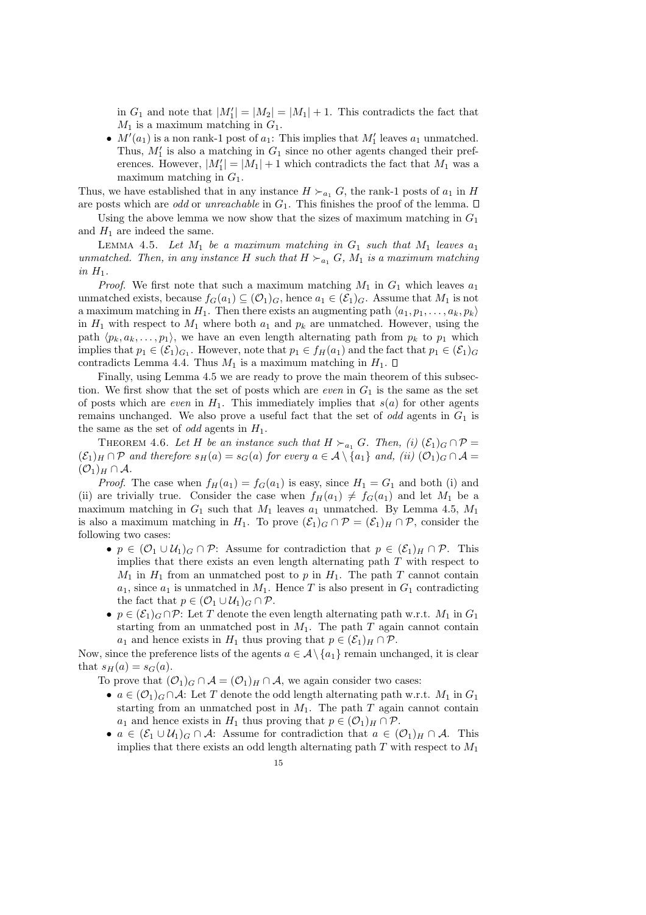in  $G_1$  and note that  $|M'_1| = |M_2| = |M_1| + 1$ . This contradicts the fact that  $M_1$  is a maximum matching in  $G_1$ .

•  $M'(a_1)$  is a non rank-1 post of  $a_1$ . This implies that  $M'_1$  leaves  $a_1$  unmatched. Thus,  $M'_1$  is also a matching in  $G_1$  since no other agents changed their preferences. However,  $|M'_1| = |M_1| + 1$  which contradicts the fact that  $M_1$  was a maximum matching in  $G_1$ .

Thus, we have established that in any instance  $H \succ_{a_1} G$ , the rank-1 posts of  $a_1$  in H are posts which are odd or unreachable in  $G_1$ . This finishes the proof of the lemma.  $\Box$ 

Using the above lemma we now show that the sizes of maximum matching in  $G_1$ and  $H_1$  are indeed the same.

LEMMA 4.5. Let  $M_1$  be a maximum matching in  $G_1$  such that  $M_1$  leaves  $a_1$ unmatched. Then, in any instance H such that  $H \succ_{a_1} G$ ,  $M_1$  is a maximum matching in  $H_1$ .

*Proof.* We first note that such a maximum matching  $M_1$  in  $G_1$  which leaves  $a_1$ unmatched exists, because  $f_G(a_1) \subseteq (O_1)_G$ , hence  $a_1 \in (\mathcal{E}_1)_G$ . Assume that  $M_1$  is not a maximum matching in  $H_1$ . Then there exists an augmenting path  $\langle a_1, p_1, \ldots, a_k, p_k \rangle$ in  $H_1$  with respect to  $M_1$  where both  $a_1$  and  $p_k$  are unmatched. However, using the path  $\langle p_k, a_k, \ldots, p_1 \rangle$ , we have an even length alternating path from  $p_k$  to  $p_1$  which implies that  $p_1 \in (\mathcal{E}_1)_{G_1}$ . However, note that  $p_1 \in f_H(a_1)$  and the fact that  $p_1 \in (\mathcal{E}_1)_G$ contradicts Lemma 4.4. Thus  $M_1$  is a maximum matching in  $H_1$ .  $\Box$ 

Finally, using Lemma 4.5 we are ready to prove the main theorem of this subsection. We first show that the set of posts which are *even* in  $G_1$  is the same as the set of posts which are even in  $H_1$ . This immediately implies that  $s(a)$  for other agents remains unchanged. We also prove a useful fact that the set of *odd* agents in  $G_1$  is the same as the set of *odd* agents in  $H_1$ .

THEOREM 4.6. Let H be an instance such that  $H \succ_{a_1} G$ . Then, (i)  $(\mathcal{E}_1)_G \cap \mathcal{P} =$  $(\mathcal{E}_1)_H \cap \mathcal{P}$  and therefore  $s_H(a) = s_G(a)$  for every  $a \in \mathcal{A} \setminus \{a_1\}$  and,  $(ii)$   $(\mathcal{O}_1)_G \cap \mathcal{A} =$  $({\cal O}_1)_H \cap {\cal A}.$ 

*Proof.* The case when  $f_H(a_1) = f_G(a_1)$  is easy, since  $H_1 = G_1$  and both (i) and (ii) are trivially true. Consider the case when  $f_H(a_1) \neq f_G(a_1)$  and let  $M_1$  be a maximum matching in  $G_1$  such that  $M_1$  leaves  $a_1$  unmatched. By Lemma 4.5,  $M_1$ is also a maximum matching in H<sub>1</sub>. To prove  $(\mathcal{E}_1)_G \cap \mathcal{P} = (\mathcal{E}_1)_H \cap \mathcal{P}$ , consider the following two cases:

- $p \in (\mathcal{O}_1 \cup \mathcal{U}_1)_{G} \cap \mathcal{P}$ : Assume for contradiction that  $p \in (\mathcal{E}_1)_{H} \cap \mathcal{P}$ . This implies that there exists an even length alternating path  $T$  with respect to  $M_1$  in  $H_1$  from an unmatched post to p in  $H_1$ . The path T cannot contain  $a_1$ , since  $a_1$  is unmatched in  $M_1$ . Hence T is also present in  $G_1$  contradicting the fact that  $p \in (\mathcal{O}_1 \cup \mathcal{U}_1)_G \cap \mathcal{P}$ .
- $p \in (\mathcal{E}_1)_G \cap \mathcal{P}$ : Let T denote the even length alternating path w.r.t.  $M_1$  in  $G_1$ starting from an unmatched post in  $M_1$ . The path  $T$  again cannot contain  $a_1$  and hence exists in  $H_1$  thus proving that  $p \in (\mathcal{E}_1)_H \cap \mathcal{P}$ .

Now, since the preference lists of the agents  $a \in \mathcal{A} \setminus \{a_1\}$  remain unchanged, it is clear that  $s_H(a) = s_G(a)$ .

To prove that  $(\mathcal{O}_1)_G \cap \mathcal{A} = (\mathcal{O}_1)_H \cap \mathcal{A}$ , we again consider two cases:

- $a \in (\mathcal{O}_1)_G \cap \mathcal{A}$ : Let T denote the odd length alternating path w.r.t.  $M_1$  in  $G_1$ starting from an unmatched post in  $M_1$ . The path  $T$  again cannot contain  $a_1$  and hence exists in  $H_1$  thus proving that  $p \in (\mathcal{O}_1)_H \cap \mathcal{P}$ .
- $a \in (\mathcal{E}_1 \cup \mathcal{U}_1)_{\mathcal{G}} \cap \mathcal{A}$ : Assume for contradiction that  $a \in (\mathcal{O}_1)_H \cap \mathcal{A}$ . This implies that there exists an odd length alternating path  $T$  with respect to  $M_1$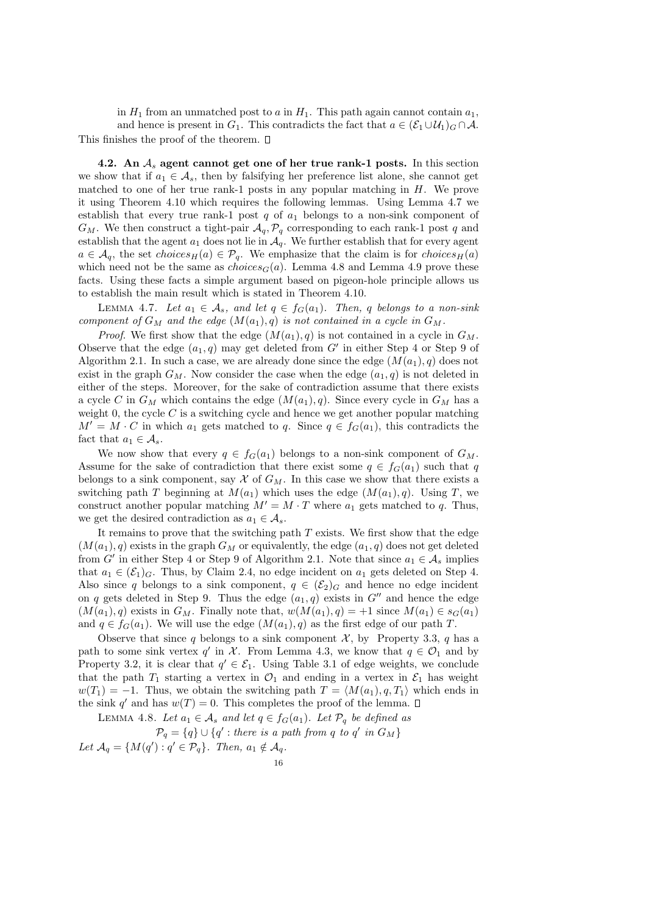in  $H_1$  from an unmatched post to a in  $H_1$ . This path again cannot contain  $a_1$ , and hence is present in  $G_1$ . This contradicts the fact that  $a \in (\mathcal{E}_1 \cup \mathcal{U}_1)_{G} \cap \mathcal{A}$ . This finishes the proof of the theorem.  $\square$ 

4.2. An  $A_s$  agent cannot get one of her true rank-1 posts. In this section we show that if  $a_1 \in \mathcal{A}_s$ , then by falsifying her preference list alone, she cannot get matched to one of her true rank-1 posts in any popular matching in H. We prove it using Theorem 4.10 which requires the following lemmas. Using Lemma 4.7 we establish that every true rank-1 post  $q$  of  $a_1$  belongs to a non-sink component of  $G_M$ . We then construct a tight-pair  $\mathcal{A}_q$ ,  $\mathcal{P}_q$  corresponding to each rank-1 post q and establish that the agent  $a_1$  does not lie in  $\mathcal{A}_q$ . We further establish that for every agent  $a \in \mathcal{A}_q$ , the set choices<sub>H</sub>(a)  $\in \mathcal{P}_q$ . We emphasize that the claim is for choices<sub>H</sub>(a) which need not be the same as  $choices_G(a)$ . Lemma 4.8 and Lemma 4.9 prove these facts. Using these facts a simple argument based on pigeon-hole principle allows us to establish the main result which is stated in Theorem 4.10.

LEMMA 4.7. Let  $a_1 \in \mathcal{A}_s$ , and let  $q \in f_G(a_1)$ . Then, q belongs to a non-sink component of  $G_M$  and the edge  $(M(a_1), q)$  is not contained in a cycle in  $G_M$ .

*Proof.* We first show that the edge  $(M(a_1), q)$  is not contained in a cycle in  $G_M$ . Observe that the edge  $(a_1, q)$  may get deleted from G' in either Step 4 or Step 9 of Algorithm 2.1. In such a case, we are already done since the edge  $(M(a_1), q)$  does not exist in the graph  $G_M$ . Now consider the case when the edge  $(a_1, q)$  is not deleted in either of the steps. Moreover, for the sake of contradiction assume that there exists a cycle C in  $G_M$  which contains the edge  $(M(a_1), q)$ . Since every cycle in  $G_M$  has a weight 0, the cycle  $C$  is a switching cycle and hence we get another popular matching  $M' = M \cdot C$  in which  $a_1$  gets matched to q. Since  $q \in f_G(a_1)$ , this contradicts the fact that  $a_1 \in \mathcal{A}_s$ .

We now show that every  $q \in f_G(a_1)$  belongs to a non-sink component of  $G_M$ . Assume for the sake of contradiction that there exist some  $q \in f_G(a_1)$  such that q belongs to a sink component, say  $\mathcal X$  of  $G_M$ . In this case we show that there exists a switching path T beginning at  $M(a_1)$  which uses the edge  $(M(a_1), q)$ . Using T, we construct another popular matching  $M' = M \cdot T$  where  $a_1$  gets matched to q. Thus, we get the desired contradiction as  $a_1 \in \mathcal{A}_s$ .

It remains to prove that the switching path  $T$  exists. We first show that the edge  $(M(a_1), q)$  exists in the graph  $G_M$  or equivalently, the edge  $(a_1, q)$  does not get deleted from G' in either Step 4 or Step 9 of Algorithm 2.1. Note that since  $a_1 \in \mathcal{A}_s$  implies that  $a_1 \in (\mathcal{E}_1)_G$ . Thus, by Claim 2.4, no edge incident on  $a_1$  gets deleted on Step 4. Also since q belongs to a sink component,  $q \in (\mathcal{E}_2)_G$  and hence no edge incident on q gets deleted in Step 9. Thus the edge  $(a_1, q)$  exists in  $G''$  and hence the edge  $(M(a_1), q)$  exists in  $G_M$ . Finally note that,  $w(M(a_1), q) = +1$  since  $M(a_1) \in s_G(a_1)$ and  $q \in f_G(a_1)$ . We will use the edge  $(M(a_1), q)$  as the first edge of our path T.

Observe that since q belongs to a sink component  $\mathcal{X}$ , by Property 3.3, q has a path to some sink vertex q' in  $\mathcal{X}$ . From Lemma 4.3, we know that  $q \in \mathcal{O}_1$  and by Property 3.2, it is clear that  $q' \in \mathcal{E}_1$ . Using Table 3.1 of edge weights, we conclude that the path  $T_1$  starting a vertex in  $\mathcal{O}_1$  and ending in a vertex in  $\mathcal{E}_1$  has weight  $w(T_1) = -1$ . Thus, we obtain the switching path  $T = \langle M(a_1), q, T_1 \rangle$  which ends in the sink q' and has  $w(T) = 0$ . This completes the proof of the lemma.

LEMMA 4.8. Let  $a_1 \in \mathcal{A}_s$  and let  $q \in f_G(a_1)$ . Let  $\mathcal{P}_q$  be defined as

 $\mathcal{P}_q = \{q\} \cup \{q' : \text{there is a path from } q \text{ to } q' \text{ in } G_M\}$ 

Let  $\mathcal{A}_q = \{ M(q') : q' \in \mathcal{P}_q \}$ . Then,  $a_1 \notin \mathcal{A}_q$ .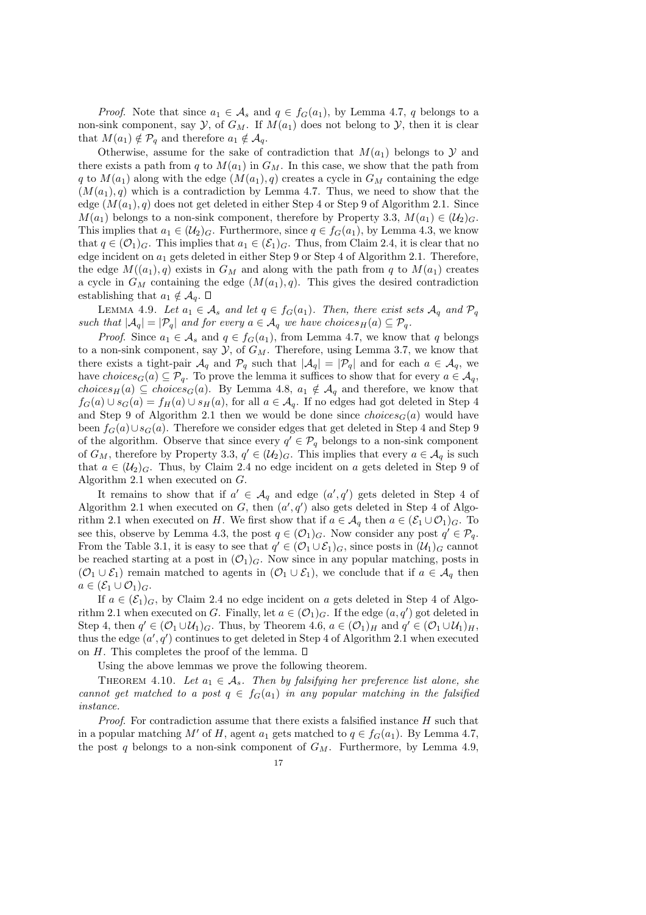*Proof.* Note that since  $a_1 \in A_s$  and  $q \in f_G(a_1)$ , by Lemma 4.7, q belongs to a non-sink component, say  $\mathcal{Y}$ , of  $G_M$ . If  $M(a_1)$  does not belong to  $\mathcal{Y}$ , then it is clear that  $M(a_1) \notin \mathcal{P}_q$  and therefore  $a_1 \notin \mathcal{A}_q$ .

Otherwise, assume for the sake of contradiction that  $M(a_1)$  belongs to  $\mathcal Y$  and there exists a path from q to  $M(a_1)$  in  $G_M$ . In this case, we show that the path from q to  $M(a_1)$  along with the edge  $(M(a_1), q)$  creates a cycle in  $G_M$  containing the edge  $(M(a_1), q)$  which is a contradiction by Lemma 4.7. Thus, we need to show that the edge  $(M(a_1), q)$  does not get deleted in either Step 4 or Step 9 of Algorithm 2.1. Since  $M(a_1)$  belongs to a non-sink component, therefore by Property 3.3,  $M(a_1) \in (\mathcal{U}_2)_G$ . This implies that  $a_1 \in (\mathcal{U}_2)_G$ . Furthermore, since  $q \in f_G(a_1)$ , by Lemma 4.3, we know that  $q \in (\mathcal{O}_1)_G$ . This implies that  $a_1 \in (\mathcal{E}_1)_G$ . Thus, from Claim 2.4, it is clear that no edge incident on  $a_1$  gets deleted in either Step 9 or Step 4 of Algorithm 2.1. Therefore, the edge  $M((a_1), q)$  exists in  $G_M$  and along with the path from q to  $M(a_1)$  creates a cycle in  $G_M$  containing the edge  $(M(a_1), q)$ . This gives the desired contradiction establishing that  $a_1 \notin \mathcal{A}_q$ .  $\square$ 

LEMMA 4.9. Let  $a_1 \in \mathcal{A}_s$  and let  $q \in f_G(a_1)$ . Then, there exist sets  $\mathcal{A}_q$  and  $\mathcal{P}_q$ such that  $|\mathcal{A}_q| = |\mathcal{P}_q|$  and for every  $a \in \mathcal{A}_q$  we have choices  $H(a) \subseteq \mathcal{P}_q$ .

*Proof.* Since  $a_1 \in A_s$  and  $q \in f_G(a_1)$ , from Lemma 4.7, we know that q belongs to a non-sink component, say  $\mathcal{Y}$ , of  $G_M$ . Therefore, using Lemma 3.7, we know that there exists a tight-pair  $\mathcal{A}_q$  and  $\mathcal{P}_q$  such that  $|\mathcal{A}_q| = |\mathcal{P}_q|$  and for each  $a \in \mathcal{A}_q$ , we have choices<sub>G</sub>(a)  $\subseteq \mathcal{P}_q$ . To prove the lemma it suffices to show that for every  $a \in \mathcal{A}_q$ , choices<sub>H</sub>(a)  $\subseteq$  choices<sub>G</sub>(a). By Lemma 4.8,  $a_1 \notin A_q$  and therefore, we know that  $f_G(a) \cup s_G(a) = f_H(a) \cup s_H(a)$ , for all  $a \in \mathcal{A}_q$ . If no edges had got deleted in Step 4 and Step 9 of Algorithm 2.1 then we would be done since  $choice_{G}(a)$  would have been  $f_G(a) \cup s_G(a)$ . Therefore we consider edges that get deleted in Step 4 and Step 9 of the algorithm. Observe that since every  $q' \in \mathcal{P}_q$  belongs to a non-sink component of  $G_M$ , therefore by Property 3.3,  $q' \in (\mathcal{U}_2)_G$ . This implies that every  $a \in \mathcal{A}_q$  is such that  $a \in (\mathcal{U}_2)_G$ . Thus, by Claim 2.4 no edge incident on a gets deleted in Step 9 of Algorithm 2.1 when executed on G.

It remains to show that if  $a' \in \mathcal{A}_q$  and edge  $(a', q')$  gets deleted in Step 4 of Algorithm 2.1 when executed on G, then  $(a', q')$  also gets deleted in Step 4 of Algorithm 2.1 when executed on H. We first show that if  $a \in A_q$  then  $a \in (\mathcal{E}_1 \cup \mathcal{O}_1)_G$ . To see this, observe by Lemma 4.3, the post  $q \in (0_1)_G$ . Now consider any post  $q' \in \mathcal{P}_q$ . From the Table 3.1, it is easy to see that  $q' \in (O_1 \cup \mathcal{E}_1)_G$ , since posts in  $(\mathcal{U}_1)_G$  cannot be reached starting at a post in  $(\mathcal{O}_1)_G$ . Now since in any popular matching, posts in  $(\mathcal{O}_1 \cup \mathcal{E}_1)$  remain matched to agents in  $(\mathcal{O}_1 \cup \mathcal{E}_1)$ , we conclude that if  $a \in \mathcal{A}_q$  then  $a \in (\mathcal{E}_1 \cup \mathcal{O}_1)_G.$ 

If  $a \in (\mathcal{E}_1)_G$ , by Claim 2.4 no edge incident on a gets deleted in Step 4 of Algorithm 2.1 when executed on G. Finally, let  $a \in (\mathcal{O}_1)_G$ . If the edge  $(a, q')$  got deleted in Step 4, then  $q' \in (\mathcal{O}_1 \cup \mathcal{U}_1)_G$ . Thus, by Theorem 4.6,  $a \in (\mathcal{O}_1)_H$  and  $q' \in (\mathcal{O}_1 \cup \mathcal{U}_1)_H$ , thus the edge  $(a', q')$  continues to get deleted in Step 4 of Algorithm 2.1 when executed on H. This completes the proof of the lemma.  $\square$ 

Using the above lemmas we prove the following theorem.

THEOREM 4.10. Let  $a_1 \in \mathcal{A}_s$ . Then by falsifying her preference list alone, she cannot get matched to a post  $q \in f_G(a_1)$  in any popular matching in the falsified instance.

*Proof.* For contradiction assume that there exists a falsified instance  $H$  such that in a popular matching M' of H, agent  $a_1$  gets matched to  $q \in f_G(a_1)$ . By Lemma 4.7, the post q belongs to a non-sink component of  $G_M$ . Furthermore, by Lemma 4.9,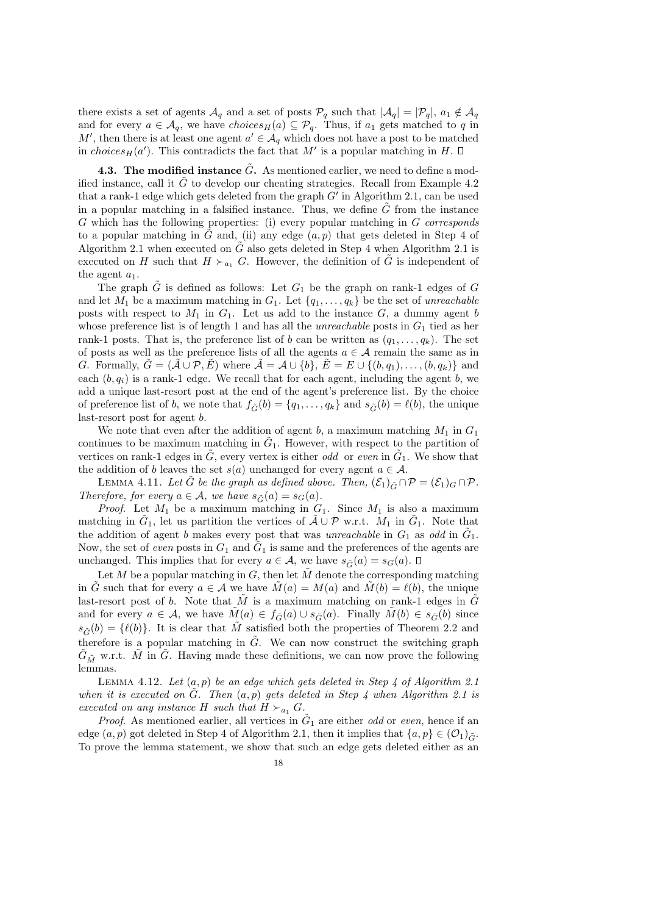there exists a set of agents  $\mathcal{A}_q$  and a set of posts  $\mathcal{P}_q$  such that  $|\mathcal{A}_q| = |\mathcal{P}_q|, a_1 \notin \mathcal{A}_q$ and for every  $a \in \mathcal{A}_q$ , we have  $choices_H(a) \subseteq \mathcal{P}_q$ . Thus, if  $a_1$  gets matched to q in M', then there is at least one agent  $a' \in \mathcal{A}_q$  which does not have a post to be matched in choices<sub>H</sub>(a'). This contradicts the fact that M' is a popular matching in H.

**4.3.** The modified instance  $G$ . As mentioned earlier, we need to define a modified instance, call it  $\tilde{G}$  to develop our cheating strategies. Recall from Example 4.2 that a rank-1 edge which gets deleted from the graph  $G'$  in Algorithm 2.1, can be used in a popular matching in a falsified instance. Thus, we define  $G$  from the instance G which has the following properties: (i) every popular matching in G corresponds to a popular matching in  $\tilde{G}$  and, (ii) any edge  $(a, p)$  that gets deleted in Step 4 of Algorithm 2.1 when executed on  $\tilde{G}$  also gets deleted in Step 4 when Algorithm 2.1 is executed on H such that  $H \succ_{a_1} G$ . However, the definition of  $\tilde{G}$  is independent of the agent  $a_1$ .

The graph  $\tilde{G}$  is defined as follows: Let  $G_1$  be the graph on rank-1 edges of  $G$ and let  $M_1$  be a maximum matching in  $G_1$ . Let  $\{q_1, \ldots, q_k\}$  be the set of unreachable posts with respect to  $M_1$  in  $G_1$ . Let us add to the instance  $G$ , a dummy agent b whose preference list is of length 1 and has all the *unreachable* posts in  $G_1$  tied as her rank-1 posts. That is, the preference list of b can be written as  $(q_1, \ldots, q_k)$ . The set of posts as well as the preference lists of all the agents  $a \in \mathcal{A}$  remain the same as in G. Formally,  $G = (\mathcal{A} \cup \mathcal{P}, E)$  where  $\mathcal{A} = \mathcal{A} \cup \{b\}, E = E \cup \{(b, q_1), \dots, (b, q_k)\}\$  and each  $(b, q_i)$  is a rank-1 edge. We recall that for each agent, including the agent b, we add a unique last-resort post at the end of the agent's preference list. By the choice of preference list of b, we note that  $f_{\tilde{G}}(b) = \{q_1, \ldots, q_k\}$  and  $s_{\tilde{G}}(b) = \ell(b)$ , the unique last-resort post for agent b.

We note that even after the addition of agent b, a maximum matching  $M_1$  in  $G_1$ continues to be maximum matching in  $\tilde{G}_1$ . However, with respect to the partition of vertices on rank-1 edges in  $\tilde{G}$ , every vertex is either *odd* or *even* in  $\tilde{G}_1$ . We show that the addition of b leaves the set  $s(a)$  unchanged for every agent  $a \in \mathcal{A}$ .

LEMMA 4.11. Let  $\tilde{G}$  be the graph as defined above. Then,  $(\mathcal{E}_1)_{\tilde{G}} \cap \mathcal{P} = (\mathcal{E}_1)_G \cap \mathcal{P}$ . Therefore, for every  $a \in \mathcal{A}$ , we have  $s_{\tilde{G}}(a) = s_G(a)$ .

*Proof.* Let  $M_1$  be a maximum matching in  $G_1$ . Since  $M_1$  is also a maximum matching in  $\tilde{G}_1$ , let us partition the vertices of  $\tilde{A} \cup \mathcal{P}$  w.r.t.  $M_1$  in  $\tilde{G}_1$ . Note that the addition of agent b makes every post that was unreachable in  $G_1$  as odd in  $\tilde{G}_1$ . Now, the set of *even* posts in  $G_1$  and  $\tilde{G}_1$  is same and the preferences of the agents are unchanged. This implies that for every  $a \in \mathcal{A}$ , we have  $s_{\tilde{G}}(a) = s_G(a)$ .  $\Box$ 

Let M be a popular matching in  $G$ , then let M denote the corresponding matching in G such that for every  $a \in A$  we have  $M(a) = M(a)$  and  $M(b) = \ell(b)$ , the unique last-resort post of b. Note that M is a maximum matching on rank-1 edges in  $\tilde{G}$ and for every  $a \in \mathcal{A}$ , we have  $\tilde{M}(a) \in f_{\tilde{G}}(a) \cup s_{\tilde{G}}(a)$ . Finally  $\tilde{M}(b) \in s_{\tilde{G}}(b)$  since  $s_{\tilde{G}}(b) = \{\ell(b)\}\.$  It is clear that  $\tilde{M}$  satisfied both the properties of Theorem 2.2 and therefore is a popular matching in  $\tilde{G}$ . We can now construct the switching graph  $G_{\tilde{M}}$  w.r.t.  $\tilde{M}$  in  $\tilde{G}$ . Having made these definitions, we can now prove the following lemmas.

LEMMA 4.12. Let  $(a, p)$  be an edge which gets deleted in Step 4 of Algorithm 2.1 when it is executed on  $\tilde{G}$ . Then  $(a, p)$  gets deleted in Step 4 when Algorithm 2.1 is executed on any instance H such that  $H \succ_{a_1} G$ .

*Proof.* As mentioned earlier, all vertices in  $\tilde{G}_1$  are either *odd* or *even*, hence if an edge  $(a, p)$  got deleted in Step 4 of Algorithm 2.1, then it implies that  $\{a, p\} \in (0_1)_{\tilde{G}}$ . To prove the lemma statement, we show that such an edge gets deleted either as an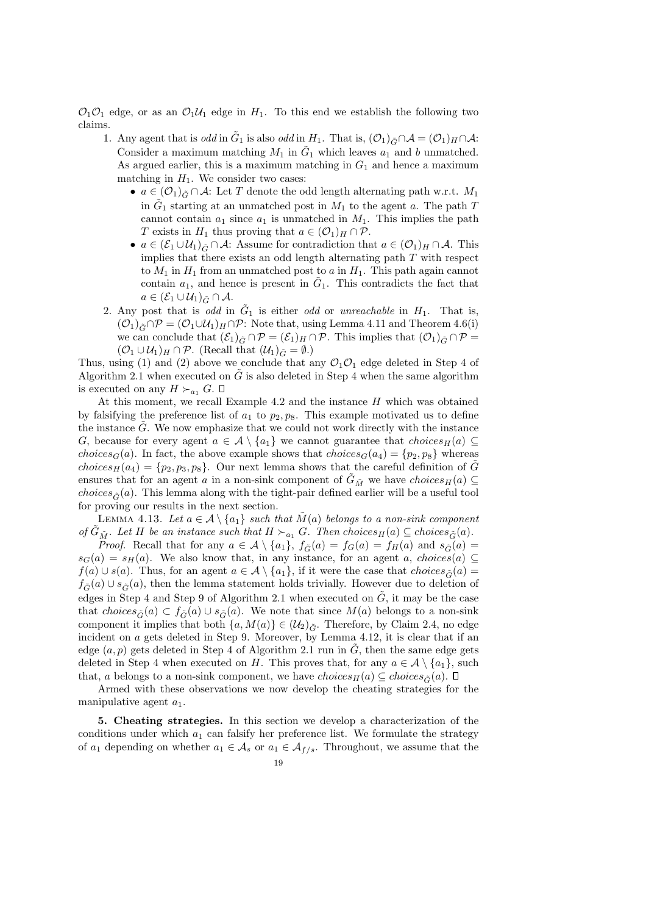$\mathcal{O}_1\mathcal{O}_1$  edge, or as an  $\mathcal{O}_1\mathcal{U}_1$  edge in  $H_1$ . To this end we establish the following two claims.

- 1. Any agent that is *odd* in  $\tilde{G}_1$  is also *odd* in  $H_1$ . That is,  $(\mathcal{O}_1)_{\tilde{G}} \cap \mathcal{A} = (\mathcal{O}_1)_H \cap \mathcal{A}$ : Consider a maximum matching  $M_1$  in  $\tilde{G}_1$  which leaves  $a_1$  and b unmatched. As argued earlier, this is a maximum matching in  $G_1$  and hence a maximum matching in  $H_1$ . We consider two cases:
	- $a \in (\mathcal{O}_1)_{\tilde{G}} \cap \mathcal{A}$ : Let T denote the odd length alternating path w.r.t.  $M_1$ in  $\tilde{G}_1$  starting at an unmatched post in  $M_1$  to the agent a. The path T cannot contain  $a_1$  since  $a_1$  is unmatched in  $M_1$ . This implies the path T exists in  $H_1$  thus proving that  $a \in (\mathcal{O}_1)_H \cap \mathcal{P}$ .
	- $a \in (\mathcal{E}_1 \cup \mathcal{U}_1)_{\tilde{G}} \cap \mathcal{A}$ : Assume for contradiction that  $a \in (\mathcal{O}_1)_H \cap \mathcal{A}$ . This implies that there exists an odd length alternating path  $T$  with respect to  $M_1$  in  $H_1$  from an unmatched post to a in  $H_1$ . This path again cannot contain  $a_1$ , and hence is present in  $\tilde{G}_1$ . This contradicts the fact that  $a \in (\mathcal{E}_1 \cup \mathcal{U}_1)_{\tilde{G}} \cap \mathcal{A}.$
- 2. Any post that is odd in  $\tilde{G}_1$  is either odd or unreachable in  $H_1$ . That is,  $(\mathcal{O}_1)_{\tilde{G}} \cap \mathcal{P} = (\mathcal{O}_1 \cup \mathcal{U}_1)_H \cap \mathcal{P}$ : Note that, using Lemma 4.11 and Theorem 4.6(i) we can conclude that  $(\mathcal{E}_1)_{\tilde{G}} \cap \mathcal{P} = (\mathcal{E}_1)_H \cap \mathcal{P}$ . This implies that  $(\mathcal{O}_1)_{\tilde{G}} \cap \mathcal{P} =$  $(\mathcal{O}_1 \cup \mathcal{U}_1)_H \cap \mathcal{P}$ . (Recall that  $(\mathcal{U}_1)_{\tilde{G}} = \emptyset$ .)

Thus, using (1) and (2) above we conclude that any  $\mathcal{O}_1\mathcal{O}_1$  edge deleted in Step 4 of Algorithm 2.1 when executed on  $\tilde{G}$  is also deleted in Step 4 when the same algorithm is executed on any  $H \succ_{a_1} G$ .  $\square$ 

At this moment, we recall Example 4.2 and the instance  $H$  which was obtained by falsifying the preference list of  $a_1$  to  $p_2, p_8$ . This example motivated us to define the instance  $\tilde{G}$ . We now emphasize that we could not work directly with the instance G, because for every agent  $a \in \mathcal{A} \setminus \{a_1\}$  we cannot guarantee that choices  $H(a) \subseteq$ choices<sub>G</sub>(a). In fact, the above example shows that choices<sub>G</sub>(a<sub>4</sub>) = { $p_2, p_8$ } whereas choices<sub>H</sub>(a<sub>4</sub>) = { $p_2, p_3, p_8$ }. Our next lemma shows that the careful definition of  $\tilde{G}$ ensures that for an agent a in a non-sink component of  $\tilde{G}_{\tilde{M}}$  we have  $choice_{H}(a) \subseteq$ *choices* $\tilde{C}(a)$ . This lemma along with the tight-pair defined earlier will be a useful tool for proving our results in the next section.

LEMMA 4.13. Let  $a \in \mathcal{A} \setminus \{a_1\}$  such that  $\tilde{M}(a)$  belongs to a non-sink component of  $\tilde{G}_{\tilde{M}}$ . Let H be an instance such that  $H \succ_{a_1} G$ . Then choices $_H(a) \subseteq$  choices $_{\tilde{G}}(a)$ .

*Proof.* Recall that for any  $a \in \mathcal{A} \setminus \{a_1\}$ ,  $f_{\tilde{G}}(a) = f_G(a) = f_H(a)$  and  $s_{\tilde{G}}(a) = f_H(a)$  $s_G(a) = s_H(a)$ . We also know that, in any instance, for an agent a, choices(a) ⊆  $f(a) \cup s(a)$ . Thus, for an agent  $a \in \mathcal{A} \setminus \{a_1\}$ , if it were the case that  $choice \tilde{\sigma}(a) =$  $f_{\tilde{G}}(a) \cup s_{\tilde{G}}(a)$ , then the lemma statement holds trivially. However due to deletion of edges in Step 4 and Step 9 of Algorithm 2.1 when executed on  $\tilde{G}$ , it may be the case that choices $\tilde{G}(a) \subset f_{\tilde{G}}(a) \cup s_{\tilde{G}}(a)$ . We note that since  $M(a)$  belongs to a non-sink component it implies that both  $\{a, M(a)\}\in (\mathcal{U}_2)_{\tilde{G}}$ . Therefore, by Claim 2.4, no edge incident on a gets deleted in Step 9. Moreover, by Lemma 4.12, it is clear that if an edge  $(a, p)$  gets deleted in Step 4 of Algorithm 2.1 run in  $\tilde{G}$ , then the same edge gets deleted in Step 4 when executed on H. This proves that, for any  $a \in \mathcal{A} \setminus \{a_1\}$ , such that, a belongs to a non-sink component, we have  $choice_{\mathcal{F}}(a) \subseteq choices_{\mathcal{F}}(a)$ .  $\Box$ 

Armed with these observations we now develop the cheating strategies for the manipulative agent  $a_1$ .

5. Cheating strategies. In this section we develop a characterization of the conditions under which  $a_1$  can falsify her preference list. We formulate the strategy of  $a_1$  depending on whether  $a_1 \in A_s$  or  $a_1 \in A_{f/s}$ . Throughout, we assume that the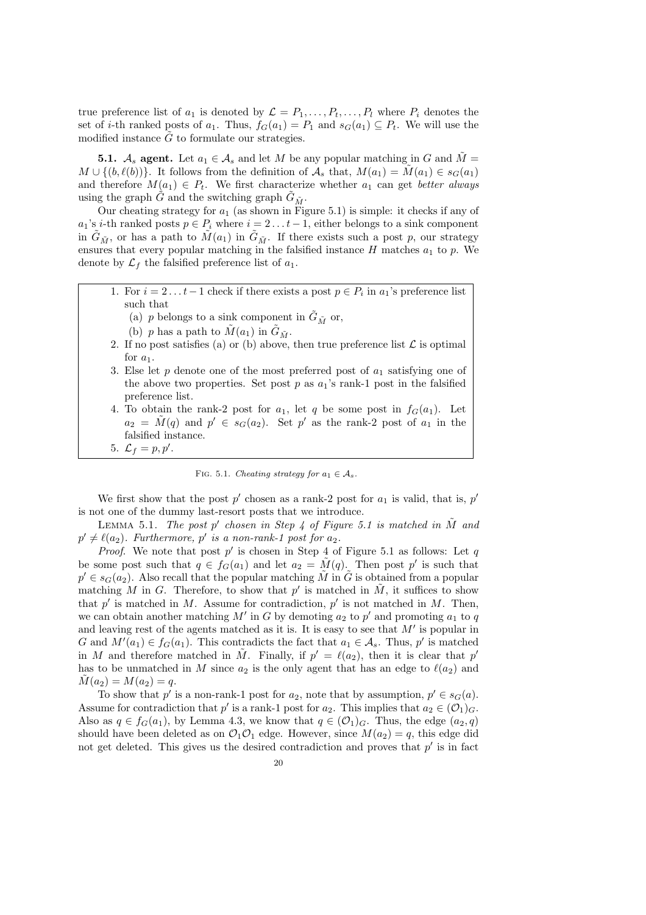true preference list of  $a_1$  is denoted by  $\mathcal{L} = P_1, \ldots, P_t, \ldots, P_l$  where  $P_i$  denotes the set of *i*-th ranked posts of  $a_1$ . Thus,  $f_G(a_1) = P_1$  and  $s_G(a_1) \subseteq P_t$ . We will use the modified instance  $\tilde{G}$  to formulate our strategies.

**5.1.**  $A_s$  agent. Let  $a_1 \in A_s$  and let M be any popular matching in G and  $\tilde{M} =$  $M \cup \{(b, \ell(b))\}.$  It follows from the definition of  $\mathcal{A}_s$  that,  $M(a_1) = \tilde{M}(a_1) \in s_G(a_1)$ and therefore  $M(a_1) \in P_t$ . We first characterize whether  $a_1$  can get better always using the graph  $\tilde{G}$  and the switching graph  $\tilde{G}_{\tilde{M}}$ .

Our cheating strategy for  $a_1$  (as shown in Figure 5.1) is simple: it checks if any of  $a_1$ 's *i*-th ranked posts  $p \in P_i$  where  $i = 2 \dots t - 1$ , either belongs to a sink component in  $\tilde{G}_{\tilde{M}}$ , or has a path to  $\tilde{M}(a_1)$  in  $\tilde{G}_{\tilde{M}}$ . If there exists such a post p, our strategy ensures that every popular matching in the falsified instance  $H$  matches  $a_1$  to  $p$ . We denote by  $\mathcal{L}_f$  the falsified preference list of  $a_1$ .

- 1. For  $i = 2...t-1$  check if there exists a post  $p \in P_i$  in  $a_1$ 's preference list such that
	- (a) p belongs to a sink component in  $\tilde{G}_{\tilde{M}}$  or,
	- (b) p has a path to  $\tilde{M}(a_1)$  in  $\tilde{G}_{\tilde{M}}$ .
- 2. If no post satisfies (a) or (b) above, then true preference list  $\mathcal L$  is optimal for  $a_1$ .
- 3. Else let  $p$  denote one of the most preferred post of  $a_1$  satisfying one of the above two properties. Set post p as  $a_1$ 's rank-1 post in the falsified preference list.
- 4. To obtain the rank-2 post for  $a_1$ , let q be some post in  $f_G(a_1)$ . Let  $a_2 = \tilde{M}(q)$  and  $p' \in s_G(a_2)$ . Set p' as the rank-2 post of  $a_1$  in the falsified instance.



FIG. 5.1. Cheating strategy for  $a_1 \in A_s$ .

We first show that the post  $p'$  chosen as a rank-2 post for  $a_1$  is valid, that is,  $p'$ is not one of the dummy last-resort posts that we introduce.

LEMMA 5.1. The post p' chosen in Step 4 of Figure 5.1 is matched in  $\tilde{M}$  and  $p' \neq \ell(a_2)$ . Furthermore, p' is a non-rank-1 post for  $a_2$ .

*Proof.* We note that post  $p'$  is chosen in Step 4 of Figure 5.1 as follows: Let  $q$ be some post such that  $q \in f_G(a_1)$  and let  $a_2 = \tilde{M}(q)$ . Then post p' is such that  $p' \in s_G(a_2)$ . Also recall that the popular matching  $\tilde{M}$  in  $\tilde{G}$  is obtained from a popular matching M in G. Therefore, to show that p' is matched in  $\tilde{M}$ , it suffices to show that  $p'$  is matched in M. Assume for contradiction,  $p'$  is not matched in M. Then, we can obtain another matching  $M'$  in G by demoting  $a_2$  to  $p'$  and promoting  $a_1$  to  $q$ and leaving rest of the agents matched as it is. It is easy to see that  $M'$  is popular in G and  $M'(a_1) \in f_G(a_1)$ . This contradicts the fact that  $a_1 \in \mathcal{A}_s$ . Thus, p' is matched in M and therefore matched in  $\tilde{M}$ . Finally, if  $p' = \ell(a_2)$ , then it is clear that p' has to be unmatched in M since  $a_2$  is the only agent that has an edge to  $\ell(a_2)$  and  $M(a_2) = M(a_2) = q.$ 

To show that  $p'$  is a non-rank-1 post for  $a_2$ , note that by assumption,  $p' \in s_G(a)$ . Assume for contradiction that p' is a rank-1 post for  $a_2$ . This implies that  $a_2 \in (0_1)_G$ . Also as  $q \in f_G(a_1)$ , by Lemma 4.3, we know that  $q \in (O_1)_G$ . Thus, the edge  $(a_2, q)$ should have been deleted as on  $\mathcal{O}_1 \mathcal{O}_1$  edge. However, since  $M(a_2) = q$ , this edge did not get deleted. This gives us the desired contradiction and proves that  $p'$  is in fact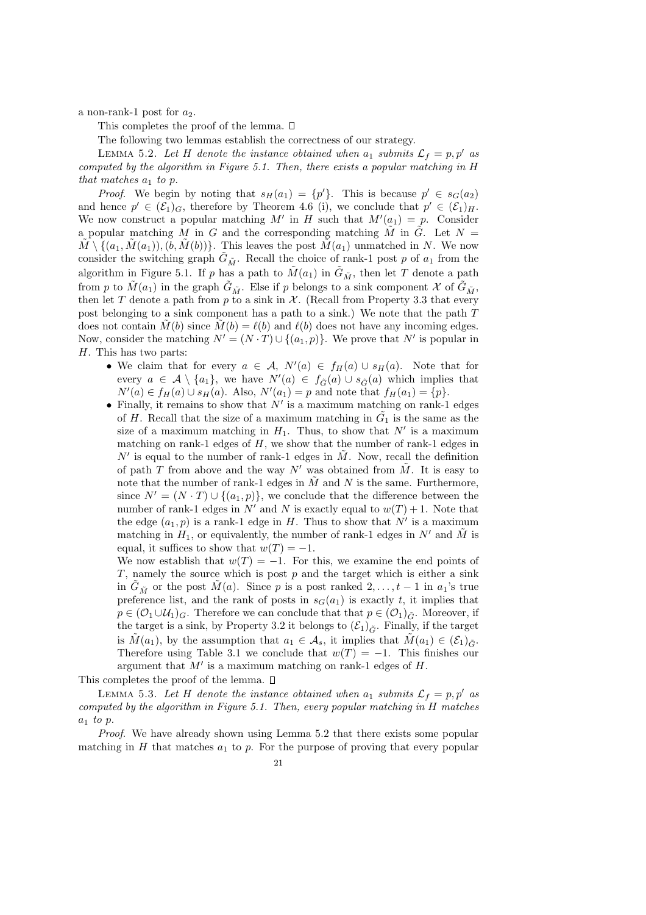a non-rank-1 post for  $a_2$ .

This completes the proof of the lemma.  $\square$ 

The following two lemmas establish the correctness of our strategy.

LEMMA 5.2. Let H denote the instance obtained when  $a_1$  submits  $\mathcal{L}_f = p, p'$  as computed by the algorithm in Figure 5.1. Then, there exists a popular matching in H that matches  $a_1$  to p.

*Proof.* We begin by noting that  $s_H(a_1) = \{p'\}$ . This is because  $p' \in s_G(a_2)$ and hence  $p' \in (\mathcal{E}_1)_G$ , therefore by Theorem 4.6 (i), we conclude that  $p' \in (\mathcal{E}_1)_H$ . We now construct a popular matching M' in H such that  $M'(a_1) = p$ . Consider a popular matching M in G and the corresponding matching  $\tilde{M}$  in  $\tilde{G}$ . Let  $N =$  $M \setminus \{(a_1, M(a_1)), (b, M(b))\}.$  This leaves the post  $M(a_1)$  unmatched in N. We now consider the switching graph  $G_{\tilde{M}}$ . Recall the choice of rank-1 post p of  $a_1$  from the algorithm in Figure 5.1. If p has a path to  $\tilde{M}(a_1)$  in  $\tilde{G}_{\tilde{M}}$ , then let T denote a path from p to  $\tilde{M}(a_1)$  in the graph  $\tilde{G}_{\tilde{M}}$ . Else if p belongs to a sink component X of  $\tilde{G}_{\tilde{M}}$ , then let T denote a path from p to a sink in  $\mathcal X$ . (Recall from Property 3.3 that every post belonging to a sink component has a path to a sink.) We note that the path T does not contain  $\tilde{M}(b)$  since  $\tilde{M}(b) = \ell(b)$  and  $\ell(b)$  does not have any incoming edges. Now, consider the matching  $N' = (N \cdot T) \cup \{(a_1, p)\}\)$ . We prove that N' is popular in H. This has two parts:

- We claim that for every  $a \in \mathcal{A}, N'(a) \in f_H(a) \cup s_H(a)$ . Note that for every  $a \in \mathcal{A} \setminus \{a_1\}$ , we have  $N'(a) \in f_{\tilde{G}}(a) \cup s_{\tilde{G}}(a)$  which implies that  $N'(a) \in f_H(a) \cup s_H(a)$ . Also,  $N'(a_1) = p$  and note that  $f_H(a_1) = \{p\}.$
- Finally, it remains to show that  $N'$  is a maximum matching on rank-1 edges of H. Recall that the size of a maximum matching in  $\tilde{G}_1$  is the same as the size of a maximum matching in  $H_1$ . Thus, to show that  $N'$  is a maximum matching on rank-1 edges of  $H$ , we show that the number of rank-1 edges in  $N'$  is equal to the number of rank-1 edges in  $\tilde{M}$ . Now, recall the definition of path T from above and the way N' was obtained from  $\tilde{M}$ . It is easy to note that the number of rank-1 edges in  $\tilde{M}$  and N is the same. Furthermore, since  $N' = (N \cdot T) \cup \{(a_1, p)\}\)$ , we conclude that the difference between the number of rank-1 edges in N' and N is exactly equal to  $w(T) + 1$ . Note that the edge  $(a_1, p)$  is a rank-1 edge in H. Thus to show that  $N'$  is a maximum matching in  $H_1$ , or equivalently, the number of rank-1 edges in  $N'$  and  $\tilde{M}$  is equal, it suffices to show that  $w(T) = -1$ .

We now establish that  $w(T) = -1$ . For this, we examine the end points of  $T$ , namely the source which is post  $p$  and the target which is either a sink in  $G_{\tilde{M}}$  or the post  $\tilde{M}(a)$ . Since p is a post ranked  $2, \ldots, t-1$  in  $a_1$ 's true preference list, and the rank of posts in  $s_G(a_1)$  is exactly t, it implies that  $p \in (O_1 \cup U_1)_G$ . Therefore we can conclude that that  $p \in (O_1)_{\tilde{G}}$ . Moreover, if the target is a sink, by Property 3.2 it belongs to  $(\mathcal{E}_1)_{\tilde{G}}$ . Finally, if the target is  $M(a_1)$ , by the assumption that  $a_1 \in \mathcal{A}_s$ , it implies that  $M(a_1) \in (\mathcal{E}_1)_{\tilde{G}}$ . Therefore using Table 3.1 we conclude that  $w(T) = -1$ . This finishes our argument that  $M'$  is a maximum matching on rank-1 edges of H.

This completes the proof of the lemma.  $\square$ 

LEMMA 5.3. Let H denote the instance obtained when  $a_1$  submits  $\mathcal{L}_f = p, p'$  as computed by the algorithm in Figure 5.1. Then, every popular matching in H matches  $a_1$  to p.

Proof. We have already shown using Lemma 5.2 that there exists some popular matching in H that matches  $a_1$  to p. For the purpose of proving that every popular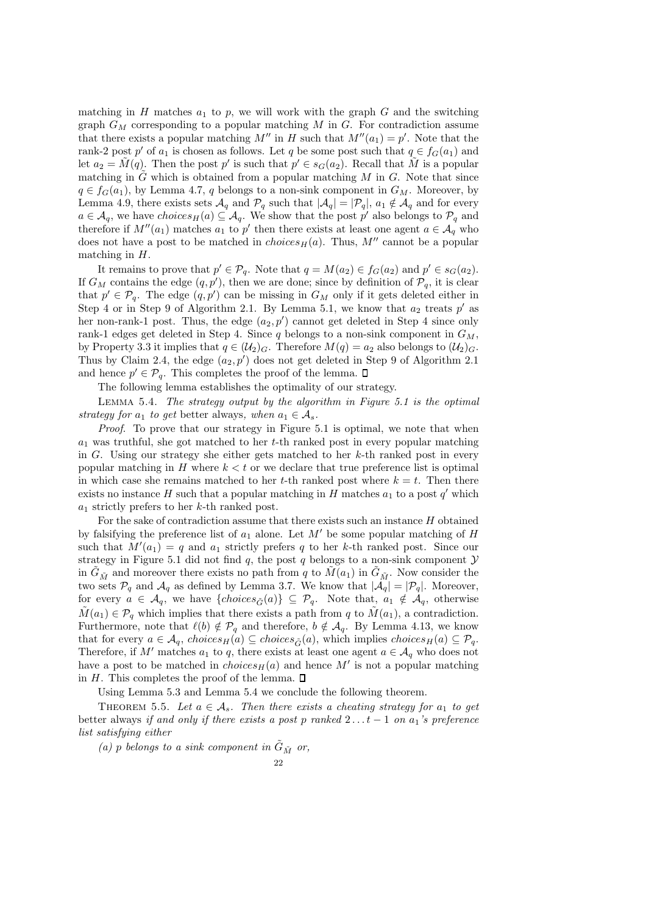matching in  $H$  matches  $a_1$  to  $p$ , we will work with the graph  $G$  and the switching graph  $G_M$  corresponding to a popular matching M in G. For contradiction assume that there exists a popular matching M'' in H such that  $M''(a_1) = p'$ . Note that the rank-2 post p' of  $a_1$  is chosen as follows. Let q be some post such that  $q \in f_G(a_1)$  and let  $a_2 = \tilde{M}(q)$ . Then the post p' is such that  $p' \in s_G(a_2)$ . Recall that  $\tilde{M}$  is a popular matching in  $\tilde{G}$  which is obtained from a popular matching  $M$  in  $G$ . Note that since  $q \in f_G(a_1)$ , by Lemma 4.7, q belongs to a non-sink component in  $G_M$ . Moreover, by Lemma 4.9, there exists sets  $\mathcal{A}_q$  and  $\mathcal{P}_q$  such that  $|\mathcal{A}_q| = |\mathcal{P}_q|$ ,  $a_1 \notin \mathcal{A}_q$  and for every  $a \in \mathcal{A}_q$ , we have choices  $H(a) \subseteq \mathcal{A}_q$ . We show that the post p' also belongs to  $\mathcal{P}_q$  and therefore if  $M''(a_1)$  matches  $a_1$  to p' then there exists at least one agent  $a \in \mathcal{A}_q$  who does not have a post to be matched in *choices* $H(a)$ . Thus, M'' cannot be a popular matching in  $H$ .

It remains to prove that  $p' \in \mathcal{P}_q$ . Note that  $q = M(a_2) \in f_G(a_2)$  and  $p' \in s_G(a_2)$ . If  $G_M$  contains the edge  $(q, p')$ , then we are done; since by definition of  $\mathcal{P}_q$ , it is clear that  $p' \in \mathcal{P}_q$ . The edge  $(q, p')$  can be missing in  $G_M$  only if it gets deleted either in Step 4 or in Step 9 of Algorithm 2.1. By Lemma 5.1, we know that  $a_2$  treats p' as her non-rank-1 post. Thus, the edge  $(a_2, p')$  cannot get deleted in Step 4 since only rank-1 edges get deleted in Step 4. Since q belongs to a non-sink component in  $G_M$ , by Property 3.3 it implies that  $q \in (\mathcal{U}_2)_G$ . Therefore  $M(q) = a_2$  also belongs to  $(\mathcal{U}_2)_G$ . Thus by Claim 2.4, the edge  $(a_2, p')$  does not get deleted in Step 9 of Algorithm 2.1 and hence  $p' \in \mathcal{P}_q$ . This completes the proof of the lemma.

The following lemma establishes the optimality of our strategy.

LEMMA 5.4. The strategy output by the algorithm in Figure 5.1 is the optimal strategy for  $a_1$  to get better always, when  $a_1 \in A_s$ .

Proof. To prove that our strategy in Figure 5.1 is optimal, we note that when  $a_1$  was truthful, she got matched to her t-th ranked post in every popular matching in G. Using our strategy she either gets matched to her  $k$ -th ranked post in every popular matching in  $H$  where  $k < t$  or we declare that true preference list is optimal in which case she remains matched to her t-th ranked post where  $k = t$ . Then there exists no instance H such that a popular matching in  $\overrightarrow{H}$  matches  $a_1$  to a post  $q'$  which  $a_1$  strictly prefers to her k-th ranked post.

For the sake of contradiction assume that there exists such an instance  $H$  obtained by falsifying the preference list of  $a_1$  alone. Let M' be some popular matching of H such that  $M'(a_1) = q$  and  $a_1$  strictly prefers q to her k-th ranked post. Since our strategy in Figure 5.1 did not find  $q$ , the post  $q$  belongs to a non-sink component  $\mathcal Y$ in  $G_{\tilde{M}}$  and moreover there exists no path from q to  $M(a_1)$  in  $G_{\tilde{M}}$ . Now consider the two sets  $\mathcal{P}_q$  and  $\mathcal{A}_q$  as defined by Lemma 3.7. We know that  $|\mathcal{A}_q| = |\mathcal{P}_q|$ . Moreover, for every  $a \in \mathcal{A}_q$ , we have  $\{choices_{\tilde{G}}(a)\} \subseteq \mathcal{P}_q$ . Note that,  $a_1 \notin \mathcal{A}_q$ , otherwise  $\tilde{M}(a_1) \in \mathcal{P}_q$  which implies that there exists a path from q to  $\tilde{M}(a_1)$ , a contradiction. Furthermore, note that  $\ell(b) \notin \mathcal{P}_q$  and therefore,  $b \notin \mathcal{A}_q$ . By Lemma 4.13, we know that for every  $a \in A_q$ , choices<sub>H</sub>(a)  $\subseteq$  choices<sub> $\tilde{G}$ </sub>(a), which implies choices<sub>H</sub>(a)  $\subseteq \mathcal{P}_q$ . Therefore, if M' matches  $a_1$  to q, there exists at least one agent  $a \in A_q$  who does not have a post to be matched in  $choiceB<sub>H</sub>(a)$  and hence M' is not a popular matching in H. This completes the proof of the lemma.  $\square$ 

Using Lemma 5.3 and Lemma 5.4 we conclude the following theorem.

THEOREM 5.5. Let  $a \in \mathcal{A}_s$ . Then there exists a cheating strategy for  $a_1$  to get better always if and only if there exists a post p ranked  $2 \ldots t - 1$  on  $a_1$ 's preference list satisfying either

(a) p belongs to a sink component in  $\tilde{G}_{\tilde{M}}$  or,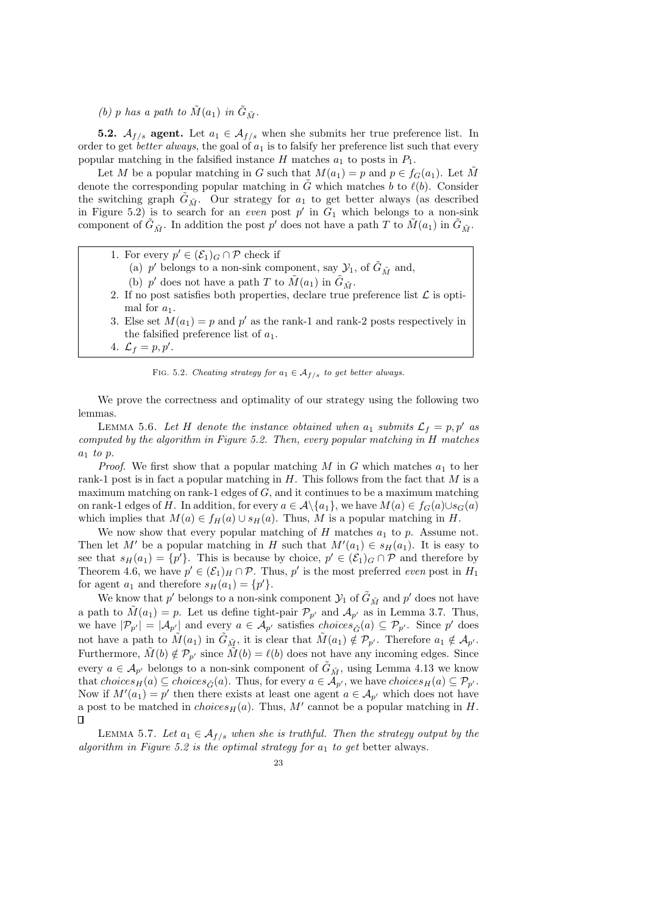(b) p has a path to  $\tilde{M}(a_1)$  in  $\tilde{G}_{\tilde{M}}$ .

**5.2.**  $\mathcal{A}_{f/s}$  agent. Let  $a_1 \in \mathcal{A}_{f/s}$  when she submits her true preference list. In order to get *better always*, the goal of  $a_1$  is to falsify her preference list such that every popular matching in the falsified instance  $H$  matches  $a_1$  to posts in  $P_1$ .

Let M be a popular matching in G such that  $M(a_1) = p$  and  $p \in f_G(a_1)$ . Let M denote the corresponding popular matching in  $\tilde{G}$  which matches b to  $\ell(b)$ . Consider the switching graph  $\tilde{G}_{\tilde{M}}$ . Our strategy for  $a_1$  to get better always (as described in Figure 5.2) is to search for an even post p' in  $G_1$  which belongs to a non-sink component of  $\tilde{G}_{\tilde{M}}$ . In addition the post  $p'$  does not have a path T to  $\tilde{M}(a_1)$  in  $\tilde{G}_{\tilde{M}}$ .

- 1. For every  $p' \in (\mathcal{E}_1)_G \cap \mathcal{P}$  check if
	- (a) p' belongs to a non-sink component, say  $\mathcal{Y}_1$ , of  $\tilde{G}_{\tilde{M}}$  and,
	- (b)  $p'$  does not have a path  $T$  to  $\tilde{M}(a_1)$  in  $\tilde{G}_{\tilde{M}}$ .
- 2. If no post satisfies both properties, declare true preference list  $\mathcal L$  is optimal for  $a_1$ .
- 3. Else set  $M(a_1) = p$  and  $p'$  as the rank-1 and rank-2 posts respectively in the falsified preference list of  $a_1$ .
- 4.  $\mathcal{L}_f = p, p'$ .

FIG. 5.2. Cheating strategy for  $a_1 \in \mathcal{A}_{f/s}$  to get better always.

We prove the correctness and optimality of our strategy using the following two lemmas.

LEMMA 5.6. Let H denote the instance obtained when  $a_1$  submits  $\mathcal{L}_f = p, p'$  as computed by the algorithm in Figure 5.2. Then, every popular matching in H matches  $a_1$  to p.

*Proof.* We first show that a popular matching M in G which matches  $a_1$  to her rank-1 post is in fact a popular matching in  $H$ . This follows from the fact that  $M$  is a maximum matching on rank-1 edges of  $G$ , and it continues to be a maximum matching on rank-1 edges of H. In addition, for every  $a \in \mathcal{A}\backslash\{a_1\}$ , we have  $M(a) \in f_G(a) \cup s_G(a)$ which implies that  $M(a) \in f_H(a) \cup s_H(a)$ . Thus, M is a popular matching in H.

We now show that every popular matching of  $H$  matches  $a_1$  to  $p$ . Assume not. Then let M' be a popular matching in H such that  $M'(a_1) \in s_H(a_1)$ . It is easy to see that  $s_H(a_1) = \{p'\}$ . This is because by choice,  $p' \in (\mathcal{E}_1)_G \cap \mathcal{P}$  and therefore by Theorem 4.6, we have  $p' \in (\mathcal{E}_1)_H \cap \mathcal{P}$ . Thus, p' is the most preferred even post in  $H_1$ for agent  $a_1$  and therefore  $s_H(a_1) = \{p'\}.$ 

We know that  $p'$  belongs to a non-sink component  $\mathcal{Y}_1$  of  $\tilde{G}_{\tilde{M}}$  and  $p'$  does not have a path to  $\tilde{M}(a_1) = p$ . Let us define tight-pair  $\mathcal{P}_{p'}$  and  $\mathcal{A}_{p'}$  as in Lemma 3.7. Thus, we have  $|\mathcal{P}_{p'}| = |\mathcal{A}_{p'}|$  and every  $a \in \mathcal{A}_{p'}$  satisfies  $choice_{\tilde{G}}(a) \subseteq \mathcal{P}_{p'}$ . Since  $p'$  does not have a path to  $\tilde{M}(a_1)$  in  $\tilde{G}_{\tilde{M}}$ , it is clear that  $\tilde{M}(a_1) \notin \mathcal{P}_{p'}$ . Therefore  $a_1 \notin \mathcal{A}_{p'}$ . Furthermore,  $\tilde{M}(b) \notin \mathcal{P}_{p'}$  since  $\tilde{M}(b) = \ell(b)$  does not have any incoming edges. Since every  $a \in A_{p'}$  belongs to a non-sink component of  $G_{\tilde{M}}$ , using Lemma 4.13 we know that  $choice_B(a) \subseteq choices_{\tilde{G}}(a)$ . Thus, for every  $a \in A_{p'}$ , we have  $choice_B(a) \subseteq \mathcal{P}_{p'}$ . Now if  $M'(a_1) = p'$  then there exists at least one agent  $a \in A_{p'}$  which does not have a post to be matched in  $choices_H(a)$ . Thus, M' cannot be a popular matching in H.  $\Box$ 

LEMMA 5.7. Let  $a_1 \in \mathcal{A}_{f/s}$  when she is truthful. Then the strategy output by the algorithm in Figure 5.2 is the optimal strategy for  $a_1$  to get better always.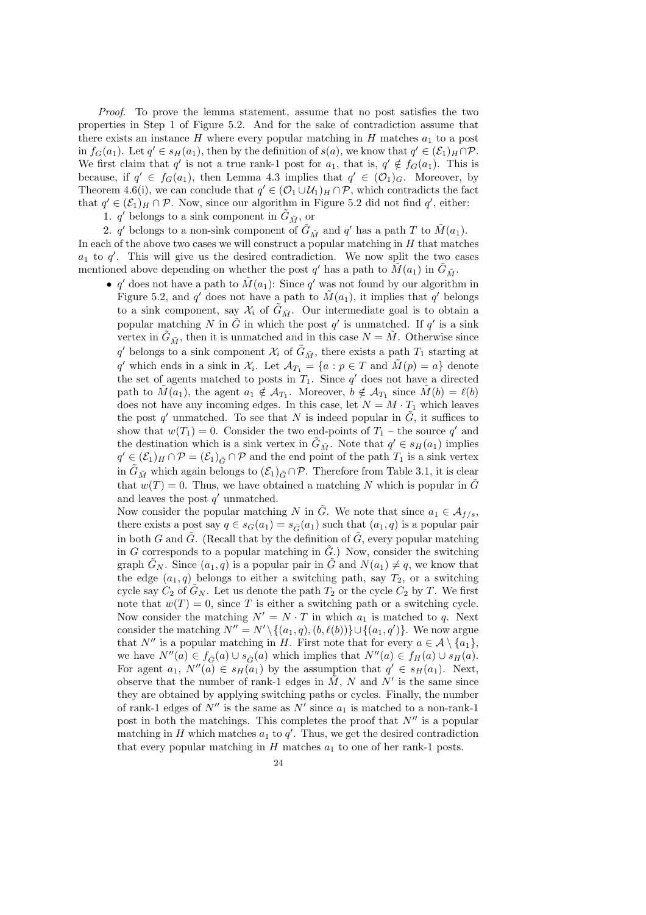Proof. To prove the lemma statement, assume that no post satisfies the two properties in Step 1 of Figure 5.2. And for the sake of contradiction assume that there exists an instance H where every popular matching in H matches  $a_1$  to a post in  $f_G(a_1)$ . Let  $q' \in s_H(a_1)$ , then by the definition of  $s(a)$ , we know that  $q' \in (\mathcal{E}_1)_H \cap \mathcal{P}$ . We first claim that q' is not a true rank-1 post for  $a_1$ , that is,  $q' \notin f_G(a_1)$ . This is because, if  $q' \in f_G(a_1)$ , then Lemma 4.3 implies that  $q' \in (O_1)_G$ . Moreover, by Theorem 4.6(i), we can conclude that  $q' \in (\mathcal{O}_1 \cup \mathcal{U}_1)_H \cap \mathcal{P}$ , which contradicts the fact that  $q' \in (\mathcal{E}_1)_H \cap \mathcal{P}$ . Now, since our algorithm in Figure 5.2 did not find  $q'$ , either:

1.  $q'$  belongs to a sink component in  $\tilde{G}_{\tilde{M}}$ , or

2. q' belongs to a non-sink component of  $\tilde{G}_{\tilde{M}}$  and q' has a path T to  $\tilde{M}(a_1)$ . In each of the above two cases we will construct a popular matching in  $H$  that matches  $a_1$  to  $q'$ . This will give us the desired contradiction. We now split the two cases mentioned above depending on whether the post  $q'$  has a path to  $\tilde{M}(a_1)$  in  $\tilde{G}_{\tilde{M}}$ .

• q' does not have a path to  $\tilde{M}(a_1)$ : Since q' was not found by our algorithm in Figure 5.2, and q' does not have a path to  $\tilde{M}(a_1)$ , it implies that q' belongs to a sink component, say  $\mathcal{X}_i$  of  $\tilde{G}_{\tilde{M}}$ . Our intermediate goal is to obtain a popular matching N in  $\tilde{G}$  in which the post q' is unmatched. If q' is a sink vertex in  $\tilde{G}_{\tilde{M}}$ , then it is unmatched and in this case  $N = \tilde{M}$ . Otherwise since q' belongs to a sink component  $\mathcal{X}_i$  of  $\tilde{G}_{\tilde{M}}$ , there exists a path  $T_1$  starting at q' which ends in a sink in  $\mathcal{X}_i$ . Let  $\mathcal{A}_{T_1} = \{a : p \in T \text{ and } \tilde{M}(p) = a\}$  denote the set of agents matched to posts in  $T_1$ . Since q' does not have a directed path to  $\tilde{M}(a_1)$ , the agent  $a_1 \notin \mathcal{A}_{T_1}$ . Moreover,  $b \notin \mathcal{A}_{T_1}$  since  $\tilde{M}(b) = \ell(b)$ does not have any incoming edges. In this case, let  $N = M \cdot T_1$  which leaves the post q' unmatched. To see that N is indeed popular in  $\tilde{G}$ , it suffices to show that  $w(T_1) = 0$ . Consider the two end-points of  $T_1$  – the source q' and the destination which is a sink vertex in  $\tilde{G}_{\tilde{M}}$ . Note that  $q' \in s_H(a_1)$  implies  $q' \in (\mathcal{E}_1)_H \cap \mathcal{P} = (\mathcal{E}_1)_{\tilde{G}} \cap \mathcal{P}$  and the end point of the path  $T_1$  is a sink vertex in  $G_{\tilde{M}}$  which again belongs to  $(\mathcal{E}_1)_{\tilde{G}} \cap \mathcal{P}$ . Therefore from Table 3.1, it is clear that  $w(T) = 0$ . Thus, we have obtained a matching N which is popular in  $\tilde{G}$ and leaves the post  $q'$  unmatched.

Now consider the popular matching N in  $\tilde{G}$ . We note that since  $a_1 \in \mathcal{A}_{f/s}$ , there exists a post say  $q \in s_G(a_1) = s_{\tilde{G}}(a_1)$  such that  $(a_1, q)$  is a popular pair in both G and  $\tilde{G}$ . (Recall that by the definition of  $\tilde{G}$ , every popular matching in G corresponds to a popular matching in  $\tilde{G}$ .) Now, consider the switching graph  $\tilde{G}_N$ . Since  $(a_1, q)$  is a popular pair in  $\tilde{G}$  and  $N(a_1) \neq q$ , we know that the edge  $(a_1, q)$  belongs to either a switching path, say  $T_2$ , or a switching cycle say  $C_2$  of  $G_N$ . Let us denote the path  $T_2$  or the cycle  $C_2$  by T. We first note that  $w(T) = 0$ , since T is either a switching path or a switching cycle. Now consider the matching  $N' = N \cdot T$  in which  $a_1$  is matched to q. Next consider the matching  $N'' = N' \setminus \{(a_1, q), (b, \ell(b))\} \cup \{(a_1, q')\}$ . We now argue that N'' is a popular matching in H. First note that for every  $a \in \mathcal{A} \setminus \{a_1\}$ , we have  $N''(a) \in f_{\tilde{G}}(a) \cup s_{\tilde{G}}(a)$  which implies that  $N''(a) \in f_H(a) \cup s_H(a)$ . For agent  $a_1$ ,  $N''(a) \in s_H(a_1)$  by the assumption that  $q' \in s_H(a_1)$ . Next, observe that the number of rank-1 edges in  $\tilde{M}$ , N and N' is the same since they are obtained by applying switching paths or cycles. Finally, the number of rank-1 edges of  $N''$  is the same as  $N'$  since  $a_1$  is matched to a non-rank-1 post in both the matchings. This completes the proof that  $N''$  is a popular matching in H which matches  $a_1$  to  $q'$ . Thus, we get the desired contradiction that every popular matching in  $H$  matches  $a_1$  to one of her rank-1 posts.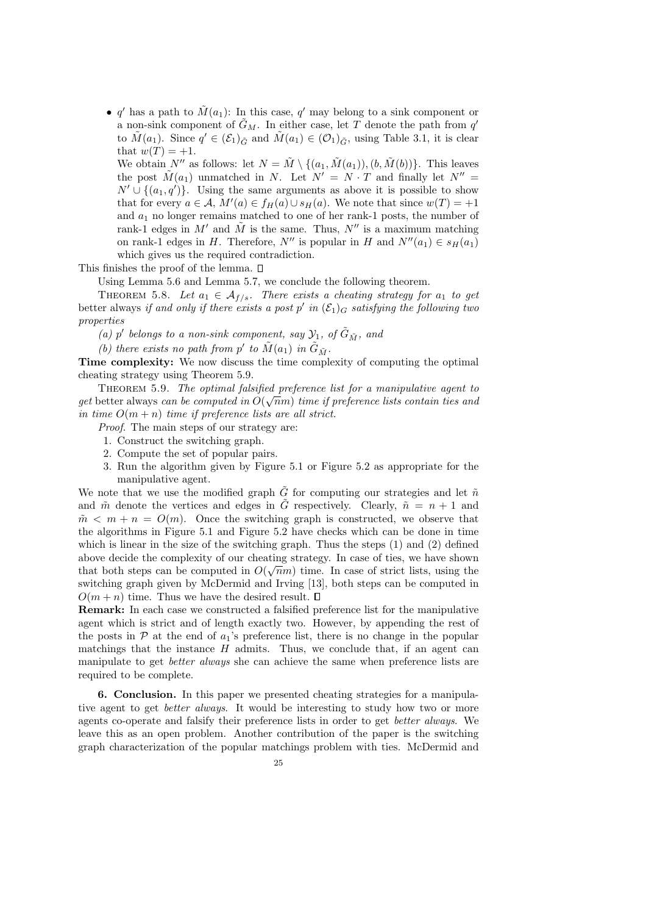• q' has a path to  $\tilde{M}(a_1)$ : In this case, q' may belong to a sink component or a non-sink component of  $\tilde{G}_M$ . In either case, let T denote the path from  $q'$ to  $\tilde{M}(a_1)$ . Since  $q' \in (\mathcal{E}_1)_{\tilde{G}}$  and  $\tilde{M}(a_1) \in (\mathcal{O}_1)_{\tilde{G}}$ , using Table 3.1, it is clear that  $w(T) = +1$ .

We obtain N'' as follows: let  $N = \tilde{M} \setminus \{(a_1, \tilde{M}(a_1)), (b, \tilde{M}(b))\}$ . This leaves the post  $\tilde{M}(a_1)$  unmatched in N. Let  $N' = N \cdot T$  and finally let  $N'' =$  $N' \cup \{(a_1, q')\}$ . Using the same arguments as above it is possible to show that for every  $a \in A$ ,  $M'(a) \in f_H(a) \cup s_H(a)$ . We note that since  $w(T) = +1$ and  $a_1$  no longer remains matched to one of her rank-1 posts, the number of rank-1 edges in M' and  $\tilde{M}$  is the same. Thus, N'' is a maximum matching on rank-1 edges in H. Therefore,  $N''$  is popular in H and  $N''(a_1) \in s_H(a_1)$ which gives us the required contradiction.

This finishes the proof of the lemma.  $\square$ 

Using Lemma 5.6 and Lemma 5.7, we conclude the following theorem.

THEOREM 5.8. Let  $a_1 \in \mathcal{A}_{f/s}$ . There exists a cheating strategy for  $a_1$  to get better always if and only if there exists a post p' in  $(\mathcal{E}_1)_G$  satisfying the following two properties

(a) p' belongs to a non-sink component, say  $\mathcal{Y}_1$ , of  $\tilde{G}_{\tilde{M}}$ , and

(b) there exists no path from  $p'$  to  $\tilde{M}(a_1)$  in  $\tilde{G}_{\tilde{M}}$ .

Time complexity: We now discuss the time complexity of computing the optimal cheating strategy using Theorem 5.9.

THEOREM 5.9. The optimal falsified preference list for a manipulative agent to get better always can be computed in  $O(\sqrt{n}m)$  time if preference lists contain ties and in time  $O(m+n)$  time if preference lists are all strict.

Proof. The main steps of our strategy are:

- 1. Construct the switching graph.
- 2. Compute the set of popular pairs.
- 3. Run the algorithm given by Figure 5.1 or Figure 5.2 as appropriate for the manipulative agent.

We note that we use the modified graph  $\tilde{G}$  for computing our strategies and let  $\tilde{n}$ and  $\tilde{m}$  denote the vertices and edges in  $\tilde{G}$  respectively. Clearly,  $\tilde{n} = n + 1$  and  $m \leq m + n = O(m)$ . Once the switching graph is constructed, we observe that the algorithms in Figure 5.1 and Figure 5.2 have checks which can be done in time which is linear in the size of the switching graph. Thus the steps (1) and (2) defined above decide the complexity of our cheating strategy. In case of ties, we have shown that both steps can be computed in  $O(\sqrt{n}m)$  time. In case of strict lists, using the switching graph given by McDermid and Irving [13], both steps can be computed in  $O(m + n)$  time. Thus we have the desired result.  $\square$ 

Remark: In each case we constructed a falsified preference list for the manipulative agent which is strict and of length exactly two. However, by appending the rest of the posts in  $\mathcal P$  at the end of  $a_1$ 's preference list, there is no change in the popular matchings that the instance  $H$  admits. Thus, we conclude that, if an agent can manipulate to get better always she can achieve the same when preference lists are required to be complete.

6. Conclusion. In this paper we presented cheating strategies for a manipulative agent to get *better always*. It would be interesting to study how two or more agents co-operate and falsify their preference lists in order to get better always. We leave this as an open problem. Another contribution of the paper is the switching graph characterization of the popular matchings problem with ties. McDermid and